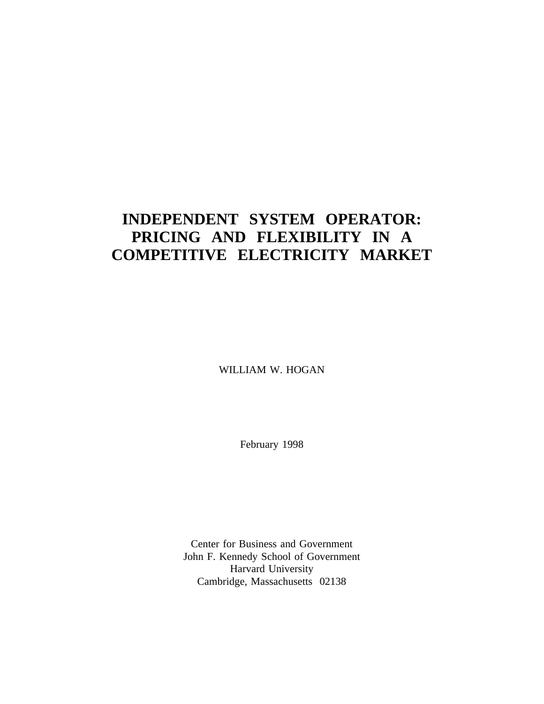# **INDEPENDENT SYSTEM OPERATOR: PRICING AND FLEXIBILITY IN A COMPETITIVE ELECTRICITY MARKET**

WILLIAM W. HOGAN

February 1998

Center for Business and Government John F. Kennedy School of Government Harvard University Cambridge, Massachusetts 02138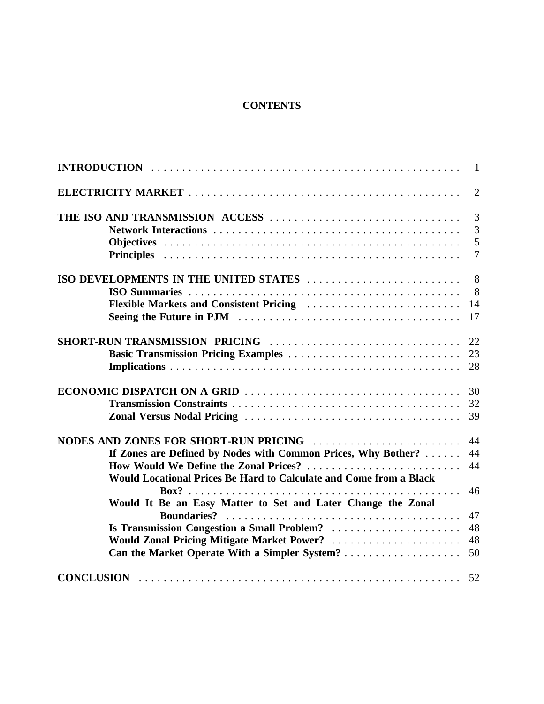## **CONTENTS**

|                                                                                     | $\mathbf{1}$   |
|-------------------------------------------------------------------------------------|----------------|
|                                                                                     | $\overline{2}$ |
| THE ISO AND TRANSMISSION ACCESS                                                     | 3              |
|                                                                                     | $\overline{3}$ |
|                                                                                     | 5              |
|                                                                                     | $\overline{7}$ |
| ISO DEVELOPMENTS IN THE UNITED STATES                                               | 8              |
|                                                                                     | 8              |
| Flexible Markets and Consistent Pricing                                             | 14             |
|                                                                                     | 17             |
| SHORT-RUN TRANSMISSION PRICING                                                      | 22             |
|                                                                                     | 23             |
|                                                                                     | 28             |
|                                                                                     | 30             |
|                                                                                     | 32             |
|                                                                                     | 39             |
| NODES AND ZONES FOR SHORT-RUN PRICING FILL CONTRACT AND THE STATE SHORT-RUN PRICING | 44             |
| If Zones are Defined by Nodes with Common Prices, Why Bother?                       | 44             |
| How Would We Define the Zonal Prices?                                               | 44             |
| Would Locational Prices Be Hard to Calculate and Come from a Black                  |                |
|                                                                                     | 46             |
| Would It Be an Easy Matter to Set and Later Change the Zonal                        |                |
|                                                                                     | 47             |
| Is Transmission Congestion a Small Problem?                                         | 48             |
| Would Zonal Pricing Mitigate Market Power?                                          | 48             |
|                                                                                     | 50             |
| <b>CONCLUSION</b>                                                                   | 52             |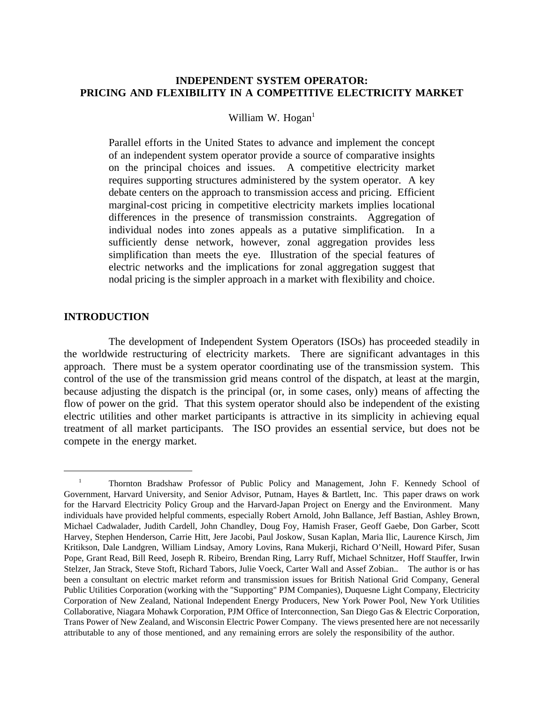## **INDEPENDENT SYSTEM OPERATOR: PRICING AND FLEXIBILITY IN A COMPETITIVE ELECTRICITY MARKET**

## William W.  $Hogan<sup>1</sup>$

Parallel efforts in the United States to advance and implement the concept of an independent system operator provide a source of comparative insights on the principal choices and issues. A competitive electricity market requires supporting structures administered by the system operator. A key debate centers on the approach to transmission access and pricing. Efficient marginal-cost pricing in competitive electricity markets implies locational differences in the presence of transmission constraints. Aggregation of individual nodes into zones appeals as a putative simplification. In a sufficiently dense network, however, zonal aggregation provides less simplification than meets the eye. Illustration of the special features of electric networks and the implications for zonal aggregation suggest that nodal pricing is the simpler approach in a market with flexibility and choice.

## **INTRODUCTION**

The development of Independent System Operators (ISOs) has proceeded steadily in the worldwide restructuring of electricity markets. There are significant advantages in this approach. There must be a system operator coordinating use of the transmission system. This control of the use of the transmission grid means control of the dispatch, at least at the margin, because adjusting the dispatch is the principal (or, in some cases, only) means of affecting the flow of power on the grid. That this system operator should also be independent of the existing electric utilities and other market participants is attractive in its simplicity in achieving equal treatment of all market participants. The ISO provides an essential service, but does not be compete in the energy market.

<sup>&</sup>lt;sup>1</sup> Thornton Bradshaw Professor of Public Policy and Management, John F. Kennedy School of Government, Harvard University, and Senior Advisor, Putnam, Hayes & Bartlett, Inc. This paper draws on work for the Harvard Electricity Policy Group and the Harvard-Japan Project on Energy and the Environment. Many individuals have provided helpful comments, especially Robert Arnold, John Ballance, Jeff Bastian, Ashley Brown, Michael Cadwalader, Judith Cardell, John Chandley, Doug Foy, Hamish Fraser, Geoff Gaebe, Don Garber, Scott Harvey, Stephen Henderson, Carrie Hitt, Jere Jacobi, Paul Joskow, Susan Kaplan, Maria Ilic, Laurence Kirsch, Jim Kritikson, Dale Landgren, William Lindsay, Amory Lovins, Rana Mukerji, Richard O'Neill, Howard Pifer, Susan Pope, Grant Read, Bill Reed, Joseph R. Ribeiro, Brendan Ring, Larry Ruff, Michael Schnitzer, Hoff Stauffer, Irwin Stelzer, Jan Strack, Steve Stoft, Richard Tabors, Julie Voeck, Carter Wall and Assef Zobian.. The author is or has been a consultant on electric market reform and transmission issues for British National Grid Company, General Public Utilities Corporation (working with the "Supporting" PJM Companies), Duquesne Light Company, Electricity Corporation of New Zealand, National Independent Energy Producers, New York Power Pool, New York Utilities Collaborative, Niagara Mohawk Corporation, PJM Office of Interconnection, San Diego Gas & Electric Corporation, Trans Power of New Zealand, and Wisconsin Electric Power Company. The views presented here are not necessarily attributable to any of those mentioned, and any remaining errors are solely the responsibility of the author.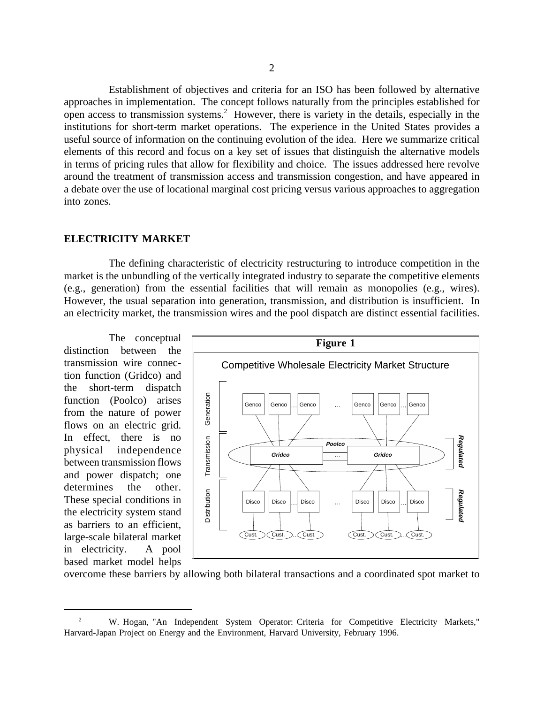Establishment of objectives and criteria for an ISO has been followed by alternative approaches in implementation. The concept follows naturally from the principles established for open access to transmission systems.2 However, there is variety in the details, especially in the institutions for short-term market operations. The experience in the United States provides a useful source of information on the continuing evolution of the idea. Here we summarize critical elements of this record and focus on a key set of issues that distinguish the alternative models in terms of pricing rules that allow for flexibility and choice. The issues addressed here revolve around the treatment of transmission access and transmission congestion, and have appeared in a debate over the use of locational marginal cost pricing versus various approaches to aggregation into zones.

## **ELECTRICITY MARKET**

The defining characteristic of electricity restructuring to introduce competition in the market is the unbundling of the vertically integrated industry to separate the competitive elements (e.g., generation) from the essential facilities that will remain as monopolies (e.g., wires). However, the usual separation into generation, transmission, and distribution is insufficient. In an electricity market, the transmission wires and the pool dispatch are distinct essential facilities.

The conceptual transmission wire connection function (Gridco) and the short-term dispatch function (Poolco) arises from the nature of power flows on an electric grid. In effect, there is no physical independence between transmission flows and power dispatch; one determines the other. These special conditions in the electricity system stand as barriers to an efficient, large-scale bilateral market in electricity. A pool based market model helps



overcome these barriers by allowing both bilateral transactions and a coordinated spot market to

<sup>2</sup> W. Hogan, "An Independent System Operator: Criteria for Competitive Electricity Markets," Harvard-Japan Project on Energy and the Environment, Harvard University, February 1996.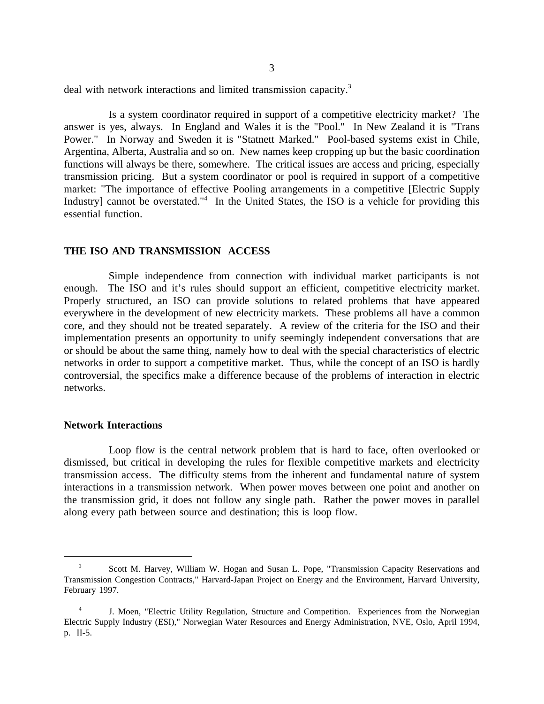deal with network interactions and limited transmission capacity.<sup>3</sup>

Is a system coordinator required in support of a competitive electricity market? The answer is yes, always. In England and Wales it is the "Pool." In New Zealand it is "Trans Power." In Norway and Sweden it is "Statnett Marked." Pool-based systems exist in Chile, Argentina, Alberta, Australia and so on. New names keep cropping up but the basic coordination functions will always be there, somewhere. The critical issues are access and pricing, especially transmission pricing. But a system coordinator or pool is required in support of a competitive market: "The importance of effective Pooling arrangements in a competitive [Electric Supply Industry] cannot be overstated."<sup>4</sup> In the United States, the ISO is a vehicle for providing this essential function.

## **THE ISO AND TRANSMISSION ACCESS**

Simple independence from connection with individual market participants is not enough. The ISO and it's rules should support an efficient, competitive electricity market. Properly structured, an ISO can provide solutions to related problems that have appeared everywhere in the development of new electricity markets. These problems all have a common core, and they should not be treated separately. A review of the criteria for the ISO and their implementation presents an opportunity to unify seemingly independent conversations that are or should be about the same thing, namely how to deal with the special characteristics of electric networks in order to support a competitive market. Thus, while the concept of an ISO is hardly controversial, the specifics make a difference because of the problems of interaction in electric networks.

## **Network Interactions**

Loop flow is the central network problem that is hard to face, often overlooked or dismissed, but critical in developing the rules for flexible competitive markets and electricity transmission access. The difficulty stems from the inherent and fundamental nature of system interactions in a transmission network. When power moves between one point and another on the transmission grid, it does not follow any single path. Rather the power moves in parallel along every path between source and destination; this is loop flow.

<sup>&</sup>lt;sup>3</sup> Scott M. Harvey, William W. Hogan and Susan L. Pope, "Transmission Capacity Reservations and Transmission Congestion Contracts," Harvard-Japan Project on Energy and the Environment, Harvard University, February 1997.

<sup>&</sup>lt;sup>4</sup> J. Moen, "Electric Utility Regulation, Structure and Competition. Experiences from the Norwegian Electric Supply Industry (ESI)," Norwegian Water Resources and Energy Administration, NVE, Oslo, April 1994, p. II-5.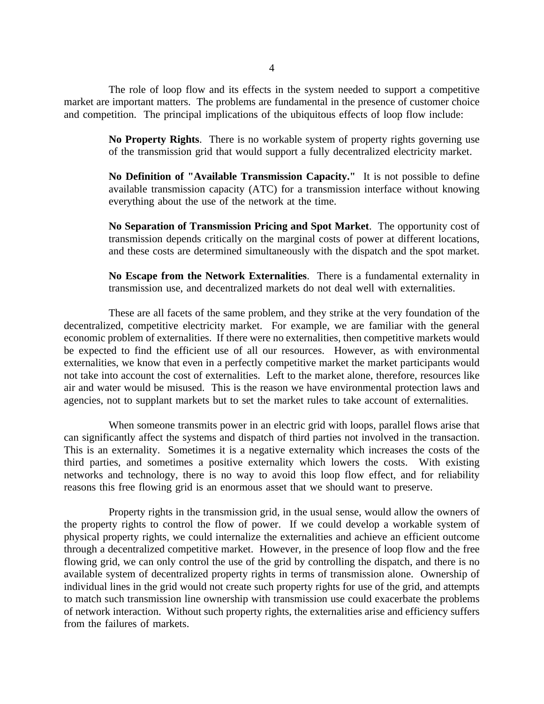The role of loop flow and its effects in the system needed to support a competitive market are important matters. The problems are fundamental in the presence of customer choice and competition. The principal implications of the ubiquitous effects of loop flow include:

> **No Property Rights**. There is no workable system of property rights governing use of the transmission grid that would support a fully decentralized electricity market.

> **No Definition of "Available Transmission Capacity."** It is not possible to define available transmission capacity (ATC) for a transmission interface without knowing everything about the use of the network at the time.

> **No Separation of Transmission Pricing and Spot Market**. The opportunity cost of transmission depends critically on the marginal costs of power at different locations, and these costs are determined simultaneously with the dispatch and the spot market.

> **No Escape from the Network Externalities**. There is a fundamental externality in transmission use, and decentralized markets do not deal well with externalities.

These are all facets of the same problem, and they strike at the very foundation of the decentralized, competitive electricity market. For example, we are familiar with the general economic problem of externalities. If there were no externalities, then competitive markets would be expected to find the efficient use of all our resources. However, as with environmental externalities, we know that even in a perfectly competitive market the market participants would not take into account the cost of externalities. Left to the market alone, therefore, resources like air and water would be misused. This is the reason we have environmental protection laws and agencies, not to supplant markets but to set the market rules to take account of externalities.

When someone transmits power in an electric grid with loops, parallel flows arise that can significantly affect the systems and dispatch of third parties not involved in the transaction. This is an externality. Sometimes it is a negative externality which increases the costs of the third parties, and sometimes a positive externality which lowers the costs. With existing networks and technology, there is no way to avoid this loop flow effect, and for reliability reasons this free flowing grid is an enormous asset that we should want to preserve.

Property rights in the transmission grid, in the usual sense, would allow the owners of the property rights to control the flow of power. If we could develop a workable system of physical property rights, we could internalize the externalities and achieve an efficient outcome through a decentralized competitive market. However, in the presence of loop flow and the free flowing grid, we can only control the use of the grid by controlling the dispatch, and there is no available system of decentralized property rights in terms of transmission alone. Ownership of individual lines in the grid would not create such property rights for use of the grid, and attempts to match such transmission line ownership with transmission use could exacerbate the problems of network interaction. Without such property rights, the externalities arise and efficiency suffers from the failures of markets.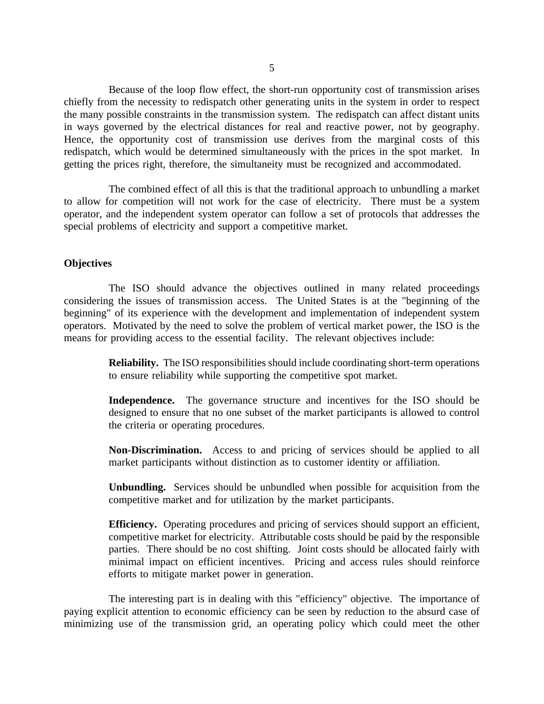Because of the loop flow effect, the short-run opportunity cost of transmission arises chiefly from the necessity to redispatch other generating units in the system in order to respect the many possible constraints in the transmission system. The redispatch can affect distant units in ways governed by the electrical distances for real and reactive power, not by geography. Hence, the opportunity cost of transmission use derives from the marginal costs of this redispatch, which would be determined simultaneously with the prices in the spot market. In getting the prices right, therefore, the simultaneity must be recognized and accommodated.

The combined effect of all this is that the traditional approach to unbundling a market to allow for competition will not work for the case of electricity. There must be a system operator, and the independent system operator can follow a set of protocols that addresses the special problems of electricity and support a competitive market.

## **Objectives**

The ISO should advance the objectives outlined in many related proceedings considering the issues of transmission access. The United States is at the "beginning of the beginning" of its experience with the development and implementation of independent system operators. Motivated by the need to solve the problem of vertical market power, the ISO is the means for providing access to the essential facility. The relevant objectives include:

> **Reliability.** The ISO responsibilities should include coordinating short-term operations to ensure reliability while supporting the competitive spot market.

> **Independence.** The governance structure and incentives for the ISO should be designed to ensure that no one subset of the market participants is allowed to control the criteria or operating procedures.

> **Non-Discrimination.** Access to and pricing of services should be applied to all market participants without distinction as to customer identity or affiliation.

> **Unbundling.** Services should be unbundled when possible for acquisition from the competitive market and for utilization by the market participants.

> **Efficiency.** Operating procedures and pricing of services should support an efficient, competitive market for electricity. Attributable costs should be paid by the responsible parties. There should be no cost shifting. Joint costs should be allocated fairly with minimal impact on efficient incentives. Pricing and access rules should reinforce efforts to mitigate market power in generation.

The interesting part is in dealing with this "efficiency" objective. The importance of paying explicit attention to economic efficiency can be seen by reduction to the absurd case of minimizing use of the transmission grid, an operating policy which could meet the other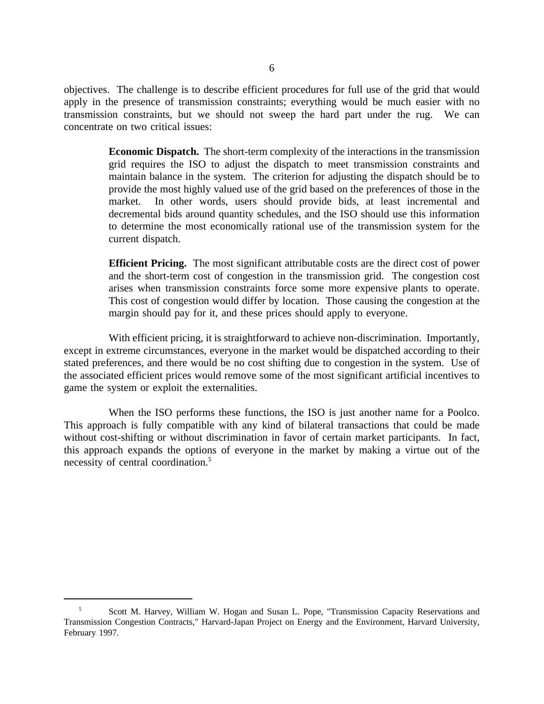objectives. The challenge is to describe efficient procedures for full use of the grid that would apply in the presence of transmission constraints; everything would be much easier with no transmission constraints, but we should not sweep the hard part under the rug. We can concentrate on two critical issues:

> **Economic Dispatch.** The short-term complexity of the interactions in the transmission grid requires the ISO to adjust the dispatch to meet transmission constraints and maintain balance in the system. The criterion for adjusting the dispatch should be to provide the most highly valued use of the grid based on the preferences of those in the market. In other words, users should provide bids, at least incremental and decremental bids around quantity schedules, and the ISO should use this information to determine the most economically rational use of the transmission system for the current dispatch.

> **Efficient Pricing.** The most significant attributable costs are the direct cost of power and the short-term cost of congestion in the transmission grid. The congestion cost arises when transmission constraints force some more expensive plants to operate. This cost of congestion would differ by location. Those causing the congestion at the margin should pay for it, and these prices should apply to everyone.

With efficient pricing, it is straightforward to achieve non-discrimination. Importantly, except in extreme circumstances, everyone in the market would be dispatched according to their stated preferences, and there would be no cost shifting due to congestion in the system. Use of the associated efficient prices would remove some of the most significant artificial incentives to game the system or exploit the externalities.

When the ISO performs these functions, the ISO is just another name for a Poolco. This approach is fully compatible with any kind of bilateral transactions that could be made without cost-shifting or without discrimination in favor of certain market participants. In fact, this approach expands the options of everyone in the market by making a virtue out of the necessity of central coordination.<sup>5</sup>

<sup>&</sup>lt;sup>5</sup> Scott M. Harvey, William W. Hogan and Susan L. Pope, "Transmission Capacity Reservations and Transmission Congestion Contracts," Harvard-Japan Project on Energy and the Environment, Harvard University, February 1997.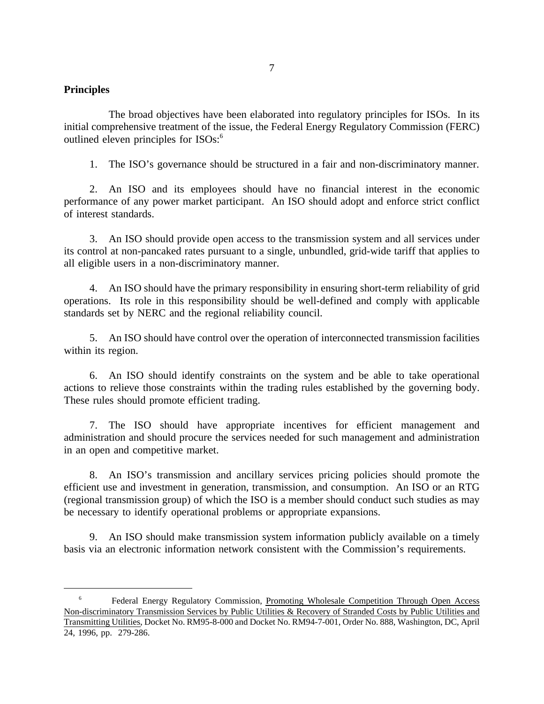## **Principles**

The broad objectives have been elaborated into regulatory principles for ISOs. In its initial comprehensive treatment of the issue, the Federal Energy Regulatory Commission (FERC) outlined eleven principles for ISOs:<sup>6</sup>

1. The ISO's governance should be structured in a fair and non-discriminatory manner.

2. An ISO and its employees should have no financial interest in the economic performance of any power market participant. An ISO should adopt and enforce strict conflict of interest standards.

3. An ISO should provide open access to the transmission system and all services under its control at non-pancaked rates pursuant to a single, unbundled, grid-wide tariff that applies to all eligible users in a non-discriminatory manner.

4. An ISO should have the primary responsibility in ensuring short-term reliability of grid operations. Its role in this responsibility should be well-defined and comply with applicable standards set by NERC and the regional reliability council.

5. An ISO should have control over the operation of interconnected transmission facilities within its region.

6. An ISO should identify constraints on the system and be able to take operational actions to relieve those constraints within the trading rules established by the governing body. These rules should promote efficient trading.

7. The ISO should have appropriate incentives for efficient management and administration and should procure the services needed for such management and administration in an open and competitive market.

8. An ISO's transmission and ancillary services pricing policies should promote the efficient use and investment in generation, transmission, and consumption. An ISO or an RTG (regional transmission group) of which the ISO is a member should conduct such studies as may be necessary to identify operational problems or appropriate expansions.

9. An ISO should make transmission system information publicly available on a timely basis via an electronic information network consistent with the Commission's requirements.

<sup>6</sup> Federal Energy Regulatory Commission, Promoting Wholesale Competition Through Open Access Non-discriminatory Transmission Services by Public Utilities & Recovery of Stranded Costs by Public Utilities and Transmitting Utilities, Docket No. RM95-8-000 and Docket No. RM94-7-001, Order No. 888, Washington, DC, April 24, 1996, pp. 279-286.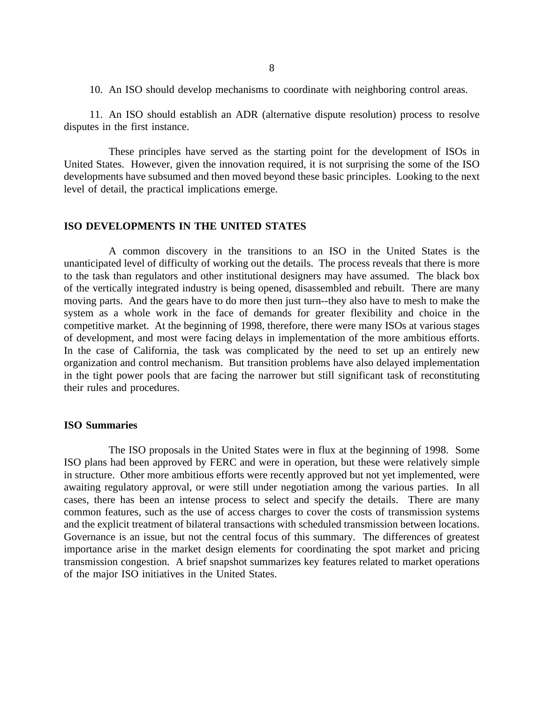10. An ISO should develop mechanisms to coordinate with neighboring control areas.

11. An ISO should establish an ADR (alternative dispute resolution) process to resolve disputes in the first instance.

These principles have served as the starting point for the development of ISOs in United States. However, given the innovation required, it is not surprising the some of the ISO developments have subsumed and then moved beyond these basic principles. Looking to the next level of detail, the practical implications emerge.

## **ISO DEVELOPMENTS IN THE UNITED STATES**

A common discovery in the transitions to an ISO in the United States is the unanticipated level of difficulty of working out the details. The process reveals that there is more to the task than regulators and other institutional designers may have assumed. The black box of the vertically integrated industry is being opened, disassembled and rebuilt. There are many moving parts. And the gears have to do more then just turn--they also have to mesh to make the system as a whole work in the face of demands for greater flexibility and choice in the competitive market. At the beginning of 1998, therefore, there were many ISOs at various stages of development, and most were facing delays in implementation of the more ambitious efforts. In the case of California, the task was complicated by the need to set up an entirely new organization and control mechanism. But transition problems have also delayed implementation in the tight power pools that are facing the narrower but still significant task of reconstituting their rules and procedures.

## **ISO Summaries**

The ISO proposals in the United States were in flux at the beginning of 1998. Some ISO plans had been approved by FERC and were in operation, but these were relatively simple in structure. Other more ambitious efforts were recently approved but not yet implemented, were awaiting regulatory approval, or were still under negotiation among the various parties. In all cases, there has been an intense process to select and specify the details. There are many common features, such as the use of access charges to cover the costs of transmission systems and the explicit treatment of bilateral transactions with scheduled transmission between locations. Governance is an issue, but not the central focus of this summary. The differences of greatest importance arise in the market design elements for coordinating the spot market and pricing transmission congestion. A brief snapshot summarizes key features related to market operations of the major ISO initiatives in the United States.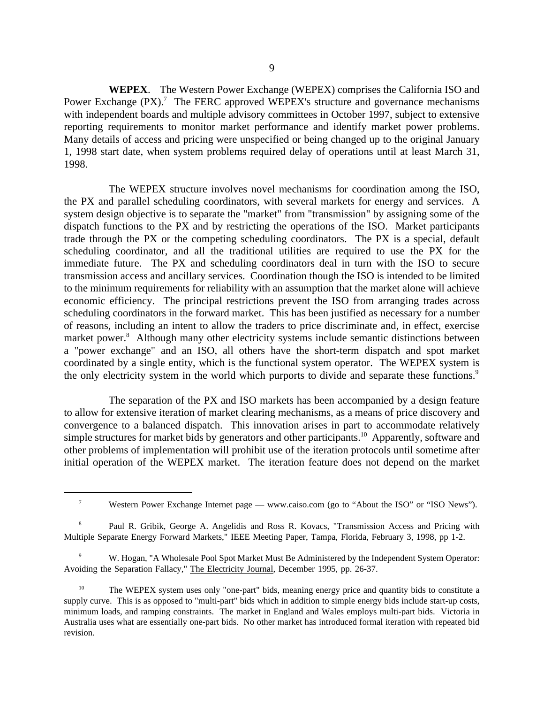**WEPEX**. The Western Power Exchange (WEPEX) comprises the California ISO and Power Exchange  $(PX)$ .<sup>7</sup> The FERC approved WEPEX's structure and governance mechanisms with independent boards and multiple advisory committees in October 1997, subject to extensive reporting requirements to monitor market performance and identify market power problems. Many details of access and pricing were unspecified or being changed up to the original January 1, 1998 start date, when system problems required delay of operations until at least March 31, 1998.

The WEPEX structure involves novel mechanisms for coordination among the ISO, the PX and parallel scheduling coordinators, with several markets for energy and services. A system design objective is to separate the "market" from "transmission" by assigning some of the dispatch functions to the PX and by restricting the operations of the ISO. Market participants trade through the PX or the competing scheduling coordinators. The PX is a special, default scheduling coordinator, and all the traditional utilities are required to use the PX for the immediate future. The PX and scheduling coordinators deal in turn with the ISO to secure transmission access and ancillary services. Coordination though the ISO is intended to be limited to the minimum requirements for reliability with an assumption that the market alone will achieve economic efficiency. The principal restrictions prevent the ISO from arranging trades across scheduling coordinators in the forward market. This has been justified as necessary for a number of reasons, including an intent to allow the traders to price discriminate and, in effect, exercise market power.<sup>8</sup> Although many other electricity systems include semantic distinctions between a "power exchange" and an ISO, all others have the short-term dispatch and spot market coordinated by a single entity, which is the functional system operator. The WEPEX system is the only electricity system in the world which purports to divide and separate these functions.<sup>9</sup>

The separation of the PX and ISO markets has been accompanied by a design feature to allow for extensive iteration of market clearing mechanisms, as a means of price discovery and convergence to a balanced dispatch. This innovation arises in part to accommodate relatively simple structures for market bids by generators and other participants.<sup>10</sup> Apparently, software and other problems of implementation will prohibit use of the iteration protocols until sometime after initial operation of the WEPEX market. The iteration feature does not depend on the market

<sup>&</sup>lt;sup>7</sup> Western Power Exchange Internet page — www.caiso.com (go to "About the ISO" or "ISO News").

<sup>8</sup> Paul R. Gribik, George A. Angelidis and Ross R. Kovacs, "Transmission Access and Pricing with Multiple Separate Energy Forward Markets," IEEE Meeting Paper, Tampa, Florida, February 3, 1998, pp 1-2.

W. Hogan, "A Wholesale Pool Spot Market Must Be Administered by the Independent System Operator: Avoiding the Separation Fallacy," The Electricity Journal, December 1995, pp. 26-37.

<sup>&</sup>lt;sup>10</sup> The WEPEX system uses only "one-part" bids, meaning energy price and quantity bids to constitute a supply curve. This is as opposed to "multi-part" bids which in addition to simple energy bids include start-up costs, minimum loads, and ramping constraints. The market in England and Wales employs multi-part bids. Victoria in Australia uses what are essentially one-part bids. No other market has introduced formal iteration with repeated bid revision.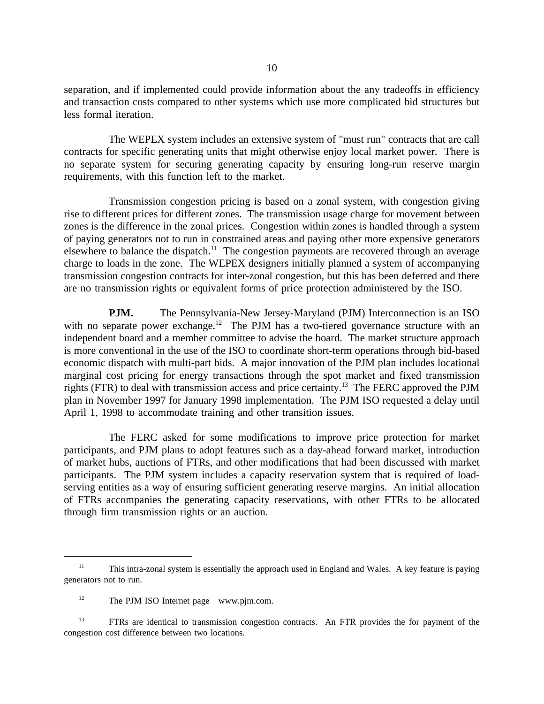separation, and if implemented could provide information about the any tradeoffs in efficiency and transaction costs compared to other systems which use more complicated bid structures but less formal iteration.

The WEPEX system includes an extensive system of "must run" contracts that are call contracts for specific generating units that might otherwise enjoy local market power. There is no separate system for securing generating capacity by ensuring long-run reserve margin requirements, with this function left to the market.

Transmission congestion pricing is based on a zonal system, with congestion giving rise to different prices for different zones. The transmission usage charge for movement between zones is the difference in the zonal prices. Congestion within zones is handled through a system of paying generators not to run in constrained areas and paying other more expensive generators elsewhere to balance the dispatch.<sup>11</sup> The congestion payments are recovered through an average charge to loads in the zone. The WEPEX designers initially planned a system of accompanying transmission congestion contracts for inter-zonal congestion, but this has been deferred and there are no transmission rights or equivalent forms of price protection administered by the ISO.

**PJM.** The Pennsylvania-New Jersey-Maryland (PJM) Interconnection is an ISO with no separate power exchange.<sup>12</sup> The PJM has a two-tiered governance structure with an independent board and a member committee to advise the board. The market structure approach is more conventional in the use of the ISO to coordinate short-term operations through bid-based economic dispatch with multi-part bids. A major innovation of the PJM plan includes locational marginal cost pricing for energy transactions through the spot market and fixed transmission rights (FTR) to deal with transmission access and price certainty.13 The FERC approved the PJM plan in November 1997 for January 1998 implementation. The PJM ISO requested a delay until April 1, 1998 to accommodate training and other transition issues.

The FERC asked for some modifications to improve price protection for market participants, and PJM plans to adopt features such as a day-ahead forward market, introduction of market hubs, auctions of FTRs, and other modifications that had been discussed with market participants. The PJM system includes a capacity reservation system that is required of loadserving entities as a way of ensuring sufficient generating reserve margins. An initial allocation of FTRs accompanies the generating capacity reservations, with other FTRs to be allocated through firm transmission rights or an auction.

<sup>&</sup>lt;sup>11</sup> This intra-zonal system is essentially the approach used in England and Wales. A key feature is paying generators not to run.

<sup>&</sup>lt;sup>12</sup> The PJM ISO Internet page— www.pjm.com.

<sup>&</sup>lt;sup>13</sup> FTRs are identical to transmission congestion contracts. An FTR provides the for payment of the congestion cost difference between two locations.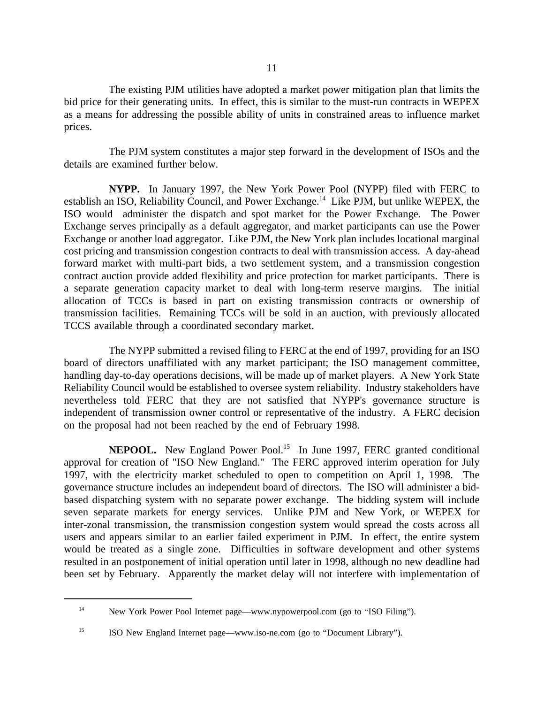The existing PJM utilities have adopted a market power mitigation plan that limits the bid price for their generating units. In effect, this is similar to the must-run contracts in WEPEX as a means for addressing the possible ability of units in constrained areas to influence market prices.

The PJM system constitutes a major step forward in the development of ISOs and the details are examined further below.

**NYPP.** In January 1997, the New York Power Pool (NYPP) filed with FERC to establish an ISO, Reliability Council, and Power Exchange.<sup>14</sup> Like PJM, but unlike WEPEX, the ISO would administer the dispatch and spot market for the Power Exchange. The Power Exchange serves principally as a default aggregator, and market participants can use the Power Exchange or another load aggregator. Like PJM, the New York plan includes locational marginal cost pricing and transmission congestion contracts to deal with transmission access. A day-ahead forward market with multi-part bids, a two settlement system, and a transmission congestion contract auction provide added flexibility and price protection for market participants. There is a separate generation capacity market to deal with long-term reserve margins. The initial allocation of TCCs is based in part on existing transmission contracts or ownership of transmission facilities. Remaining TCCs will be sold in an auction, with previously allocated TCCS available through a coordinated secondary market.

The NYPP submitted a revised filing to FERC at the end of 1997, providing for an ISO board of directors unaffiliated with any market participant; the ISO management committee, handling day-to-day operations decisions, will be made up of market players. A New York State Reliability Council would be established to oversee system reliability. Industry stakeholders have nevertheless told FERC that they are not satisfied that NYPP's governance structure is independent of transmission owner control or representative of the industry. A FERC decision on the proposal had not been reached by the end of February 1998.

**NEPOOL.** New England Power Pool.<sup>15</sup> In June 1997, FERC granted conditional approval for creation of "ISO New England." The FERC approved interim operation for July 1997, with the electricity market scheduled to open to competition on April 1, 1998. The governance structure includes an independent board of directors. The ISO will administer a bidbased dispatching system with no separate power exchange. The bidding system will include seven separate markets for energy services. Unlike PJM and New York, or WEPEX for inter-zonal transmission, the transmission congestion system would spread the costs across all users and appears similar to an earlier failed experiment in PJM. In effect, the entire system would be treated as a single zone. Difficulties in software development and other systems resulted in an postponement of initial operation until later in 1998, although no new deadline had been set by February. Apparently the market delay will not interfere with implementation of

<sup>&</sup>lt;sup>14</sup> New York Power Pool Internet page—www.nypowerpool.com (go to "ISO Filing").

<sup>&</sup>lt;sup>15</sup> ISO New England Internet page—www.iso-ne.com (go to "Document Library").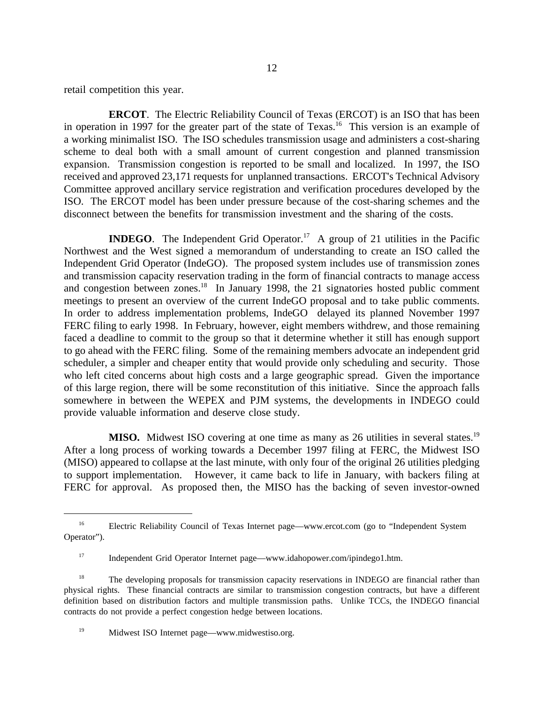retail competition this year.

**ERCOT**. The Electric Reliability Council of Texas (ERCOT) is an ISO that has been in operation in 1997 for the greater part of the state of Texas.<sup>16</sup> This version is an example of a working minimalist ISO. The ISO schedules transmission usage and administers a cost-sharing scheme to deal both with a small amount of current congestion and planned transmission expansion. Transmission congestion is reported to be small and localized. In 1997, the ISO received and approved 23,171 requests for unplanned transactions. ERCOT's Technical Advisory Committee approved ancillary service registration and verification procedures developed by the ISO. The ERCOT model has been under pressure because of the cost-sharing schemes and the disconnect between the benefits for transmission investment and the sharing of the costs.

**INDEGO.** The Independent Grid Operator.<sup>17</sup> A group of 21 utilities in the Pacific Northwest and the West signed a memorandum of understanding to create an ISO called the Independent Grid Operator (IndeGO). The proposed system includes use of transmission zones and transmission capacity reservation trading in the form of financial contracts to manage access and congestion between zones.<sup>18</sup> In January 1998, the 21 signatories hosted public comment meetings to present an overview of the current IndeGO proposal and to take public comments. In order to address implementation problems, IndeGO delayed its planned November 1997 FERC filing to early 1998. In February, however, eight members withdrew, and those remaining faced a deadline to commit to the group so that it determine whether it still has enough support to go ahead with the FERC filing. Some of the remaining members advocate an independent grid scheduler, a simpler and cheaper entity that would provide only scheduling and security. Those who left cited concerns about high costs and a large geographic spread. Given the importance of this large region, there will be some reconstitution of this initiative. Since the approach falls somewhere in between the WEPEX and PJM systems, the developments in INDEGO could provide valuable information and deserve close study.

**MISO.** Midwest ISO covering at one time as many as 26 utilities in several states.<sup>19</sup> After a long process of working towards a December 1997 filing at FERC, the Midwest ISO (MISO) appeared to collapse at the last minute, with only four of the original 26 utilities pledging to support implementation. However, it came back to life in January, with backers filing at FERC for approval. As proposed then, the MISO has the backing of seven investor-owned

<sup>&</sup>lt;sup>16</sup> Electric Reliability Council of Texas Internet page—www.ercot.com (go to "Independent System Operator").

<sup>17</sup> Independent Grid Operator Internet page—www.idahopower.com/ipindego1.htm.

<sup>&</sup>lt;sup>18</sup> The developing proposals for transmission capacity reservations in INDEGO are financial rather than physical rights. These financial contracts are similar to transmission congestion contracts, but have a different definition based on distribution factors and multiple transmission paths. Unlike TCCs, the INDEGO financial contracts do not provide a perfect congestion hedge between locations.

<sup>&</sup>lt;sup>19</sup> Midwest ISO Internet page—www.midwestiso.org.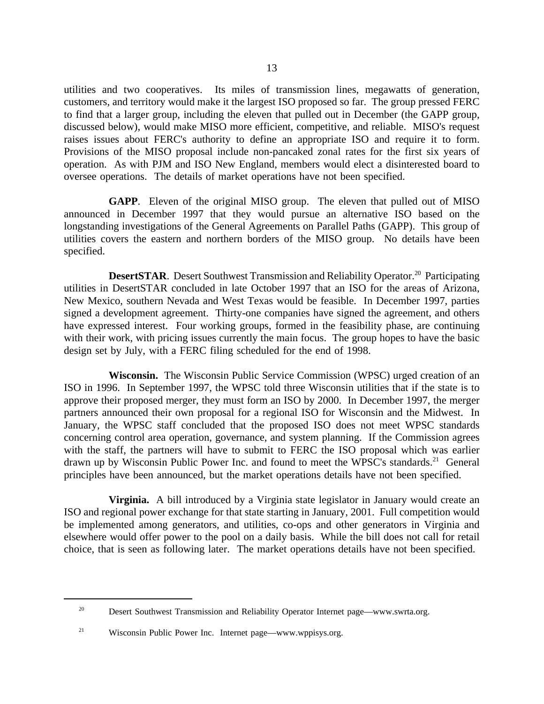utilities and two cooperatives. Its miles of transmission lines, megawatts of generation, customers, and territory would make it the largest ISO proposed so far. The group pressed FERC to find that a larger group, including the eleven that pulled out in December (the GAPP group, discussed below), would make MISO more efficient, competitive, and reliable. MISO's request raises issues about FERC's authority to define an appropriate ISO and require it to form. Provisions of the MISO proposal include non-pancaked zonal rates for the first six years of operation. As with PJM and ISO New England, members would elect a disinterested board to oversee operations. The details of market operations have not been specified.

**GAPP**. Eleven of the original MISO group. The eleven that pulled out of MISO announced in December 1997 that they would pursue an alternative ISO based on the longstanding investigations of the General Agreements on Parallel Paths (GAPP). This group of utilities covers the eastern and northern borders of the MISO group. No details have been specified.

**DesertSTAR.** Desert Southwest Transmission and Reliability Operator.<sup>20</sup> Participating utilities in DesertSTAR concluded in late October 1997 that an ISO for the areas of Arizona, New Mexico, southern Nevada and West Texas would be feasible. In December 1997, parties signed a development agreement. Thirty-one companies have signed the agreement, and others have expressed interest. Four working groups, formed in the feasibility phase, are continuing with their work, with pricing issues currently the main focus. The group hopes to have the basic design set by July, with a FERC filing scheduled for the end of 1998.

**Wisconsin.** The Wisconsin Public Service Commission (WPSC) urged creation of an ISO in 1996. In September 1997, the WPSC told three Wisconsin utilities that if the state is to approve their proposed merger, they must form an ISO by 2000. In December 1997, the merger partners announced their own proposal for a regional ISO for Wisconsin and the Midwest. In January, the WPSC staff concluded that the proposed ISO does not meet WPSC standards concerning control area operation, governance, and system planning. If the Commission agrees with the staff, the partners will have to submit to FERC the ISO proposal which was earlier drawn up by Wisconsin Public Power Inc. and found to meet the WPSC's standards.<sup>21</sup> General principles have been announced, but the market operations details have not been specified.

**Virginia.** A bill introduced by a Virginia state legislator in January would create an ISO and regional power exchange for that state starting in January, 2001. Full competition would be implemented among generators, and utilities, co-ops and other generators in Virginia and elsewhere would offer power to the pool on a daily basis. While the bill does not call for retail choice, that is seen as following later. The market operations details have not been specified.

<sup>&</sup>lt;sup>20</sup> Desert Southwest Transmission and Reliability Operator Internet page—www.swrta.org.

<sup>&</sup>lt;sup>21</sup> Wisconsin Public Power Inc. Internet page—www.wppisys.org.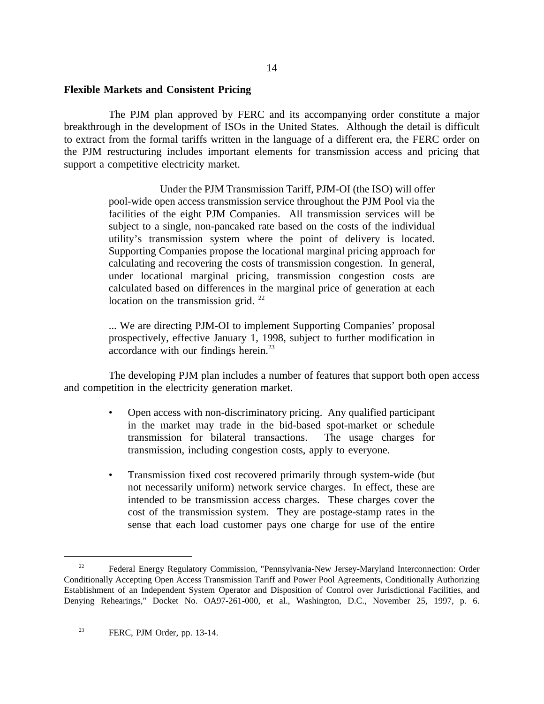## **Flexible Markets and Consistent Pricing**

The PJM plan approved by FERC and its accompanying order constitute a major breakthrough in the development of ISOs in the United States. Although the detail is difficult to extract from the formal tariffs written in the language of a different era, the FERC order on the PJM restructuring includes important elements for transmission access and pricing that support a competitive electricity market.

14

Under the PJM Transmission Tariff, PJM-OI (the ISO) will offer pool-wide open access transmission service throughout the PJM Pool via the facilities of the eight PJM Companies. All transmission services will be subject to a single, non-pancaked rate based on the costs of the individual utility's transmission system where the point of delivery is located. Supporting Companies propose the locational marginal pricing approach for calculating and recovering the costs of transmission congestion. In general, under locational marginal pricing, transmission congestion costs are calculated based on differences in the marginal price of generation at each location on the transmission grid.  $22$ 

... We are directing PJM-OI to implement Supporting Companies' proposal prospectively, effective January 1, 1998, subject to further modification in  $accordance$  with our findings herein.<sup>23</sup>

The developing PJM plan includes a number of features that support both open access and competition in the electricity generation market.

- Open access with non-discriminatory pricing. Any qualified participant in the market may trade in the bid-based spot-market or schedule transmission for bilateral transactions. The usage charges for transmission, including congestion costs, apply to everyone.
- Transmission fixed cost recovered primarily through system-wide (but not necessarily uniform) network service charges. In effect, these are intended to be transmission access charges. These charges cover the cost of the transmission system. They are postage-stamp rates in the sense that each load customer pays one charge for use of the entire

<sup>&</sup>lt;sup>22</sup> Federal Energy Regulatory Commission, "Pennsylvania-New Jersey-Maryland Interconnection: Order Conditionally Accepting Open Access Transmission Tariff and Power Pool Agreements, Conditionally Authorizing Establishment of an Independent System Operator and Disposition of Control over Jurisdictional Facilities, and Denying Rehearings," Docket No. OA97-261-000, et al., Washington, D.C., November 25, 1997, p. 6.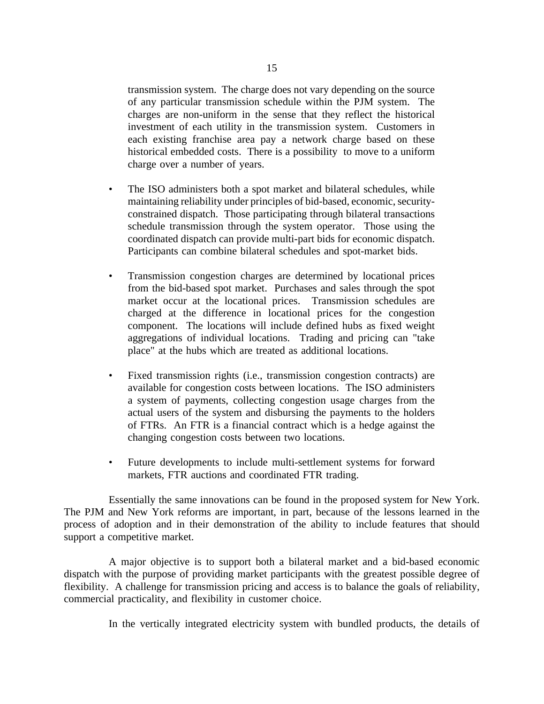transmission system. The charge does not vary depending on the source of any particular transmission schedule within the PJM system. The charges are non-uniform in the sense that they reflect the historical investment of each utility in the transmission system. Customers in each existing franchise area pay a network charge based on these historical embedded costs. There is a possibility to move to a uniform charge over a number of years.

- The ISO administers both a spot market and bilateral schedules, while maintaining reliability under principles of bid-based, economic, securityconstrained dispatch. Those participating through bilateral transactions schedule transmission through the system operator. Those using the coordinated dispatch can provide multi-part bids for economic dispatch. Participants can combine bilateral schedules and spot-market bids.
- Transmission congestion charges are determined by locational prices from the bid-based spot market. Purchases and sales through the spot market occur at the locational prices. Transmission schedules are charged at the difference in locational prices for the congestion component. The locations will include defined hubs as fixed weight aggregations of individual locations. Trading and pricing can "take place" at the hubs which are treated as additional locations.
- Fixed transmission rights (i.e., transmission congestion contracts) are available for congestion costs between locations. The ISO administers a system of payments, collecting congestion usage charges from the actual users of the system and disbursing the payments to the holders of FTRs. An FTR is a financial contract which is a hedge against the changing congestion costs between two locations.
- Future developments to include multi-settlement systems for forward markets, FTR auctions and coordinated FTR trading.

Essentially the same innovations can be found in the proposed system for New York. The PJM and New York reforms are important, in part, because of the lessons learned in the process of adoption and in their demonstration of the ability to include features that should support a competitive market.

A major objective is to support both a bilateral market and a bid-based economic dispatch with the purpose of providing market participants with the greatest possible degree of flexibility. A challenge for transmission pricing and access is to balance the goals of reliability, commercial practicality, and flexibility in customer choice.

In the vertically integrated electricity system with bundled products, the details of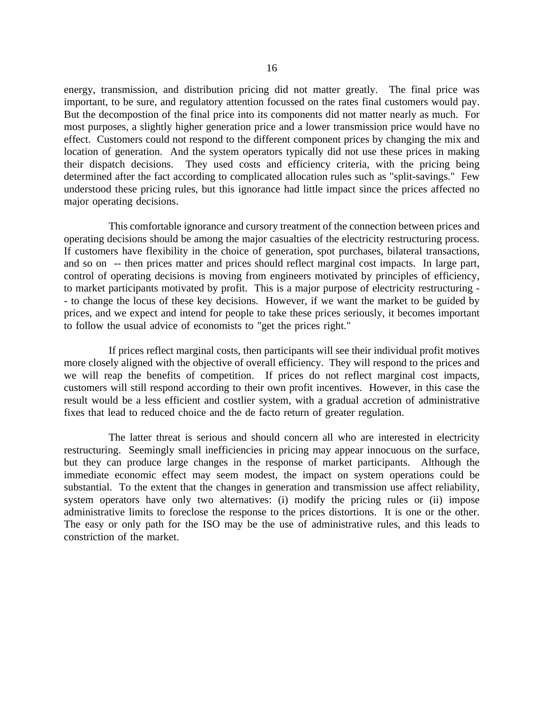energy, transmission, and distribution pricing did not matter greatly. The final price was important, to be sure, and regulatory attention focussed on the rates final customers would pay. But the decompostion of the final price into its components did not matter nearly as much. For most purposes, a slightly higher generation price and a lower transmission price would have no effect. Customers could not respond to the different component prices by changing the mix and location of generation. And the system operators typically did not use these prices in making their dispatch decisions. They used costs and efficiency criteria, with the pricing being determined after the fact according to complicated allocation rules such as "split-savings." Few understood these pricing rules, but this ignorance had little impact since the prices affected no major operating decisions.

This comfortable ignorance and cursory treatment of the connection between prices and operating decisions should be among the major casualties of the electricity restructuring process. If customers have flexibility in the choice of generation, spot purchases, bilateral transactions, and so on -- then prices matter and prices should reflect marginal cost impacts. In large part, control of operating decisions is moving from engineers motivated by principles of efficiency, to market participants motivated by profit. This is a major purpose of electricity restructuring - - to change the locus of these key decisions. However, if we want the market to be guided by prices, and we expect and intend for people to take these prices seriously, it becomes important to follow the usual advice of economists to "get the prices right."

If prices reflect marginal costs, then participants will see their individual profit motives more closely aligned with the objective of overall efficiency. They will respond to the prices and we will reap the benefits of competition. If prices do not reflect marginal cost impacts, customers will still respond according to their own profit incentives. However, in this case the result would be a less efficient and costlier system, with a gradual accretion of administrative fixes that lead to reduced choice and the de facto return of greater regulation.

The latter threat is serious and should concern all who are interested in electricity restructuring. Seemingly small inefficiencies in pricing may appear innocuous on the surface, but they can produce large changes in the response of market participants. Although the immediate economic effect may seem modest, the impact on system operations could be substantial. To the extent that the changes in generation and transmission use affect reliability, system operators have only two alternatives: (i) modify the pricing rules or (ii) impose administrative limits to foreclose the response to the prices distortions. It is one or the other. The easy or only path for the ISO may be the use of administrative rules, and this leads to constriction of the market.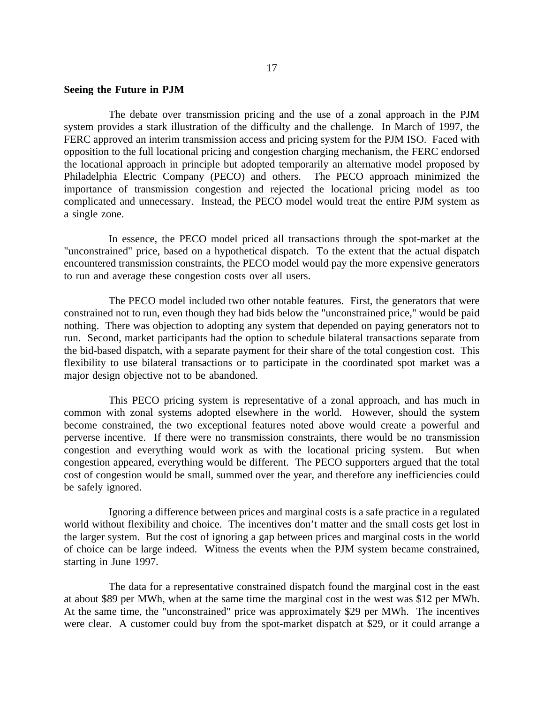## **Seeing the Future in PJM**

The debate over transmission pricing and the use of a zonal approach in the PJM system provides a stark illustration of the difficulty and the challenge. In March of 1997, the FERC approved an interim transmission access and pricing system for the PJM ISO. Faced with opposition to the full locational pricing and congestion charging mechanism, the FERC endorsed the locational approach in principle but adopted temporarily an alternative model proposed by Philadelphia Electric Company (PECO) and others. The PECO approach minimized the importance of transmission congestion and rejected the locational pricing model as too complicated and unnecessary. Instead, the PECO model would treat the entire PJM system as a single zone.

In essence, the PECO model priced all transactions through the spot-market at the "unconstrained" price, based on a hypothetical dispatch. To the extent that the actual dispatch encountered transmission constraints, the PECO model would pay the more expensive generators to run and average these congestion costs over all users.

The PECO model included two other notable features. First, the generators that were constrained not to run, even though they had bids below the "unconstrained price," would be paid nothing. There was objection to adopting any system that depended on paying generators not to run. Second, market participants had the option to schedule bilateral transactions separate from the bid-based dispatch, with a separate payment for their share of the total congestion cost. This flexibility to use bilateral transactions or to participate in the coordinated spot market was a major design objective not to be abandoned.

This PECO pricing system is representative of a zonal approach, and has much in common with zonal systems adopted elsewhere in the world. However, should the system become constrained, the two exceptional features noted above would create a powerful and perverse incentive. If there were no transmission constraints, there would be no transmission congestion and everything would work as with the locational pricing system. But when congestion appeared, everything would be different. The PECO supporters argued that the total cost of congestion would be small, summed over the year, and therefore any inefficiencies could be safely ignored.

Ignoring a difference between prices and marginal costs is a safe practice in a regulated world without flexibility and choice. The incentives don't matter and the small costs get lost in the larger system. But the cost of ignoring a gap between prices and marginal costs in the world of choice can be large indeed. Witness the events when the PJM system became constrained, starting in June 1997.

The data for a representative constrained dispatch found the marginal cost in the east at about \$89 per MWh, when at the same time the marginal cost in the west was \$12 per MWh. At the same time, the "unconstrained" price was approximately \$29 per MWh. The incentives were clear. A customer could buy from the spot-market dispatch at \$29, or it could arrange a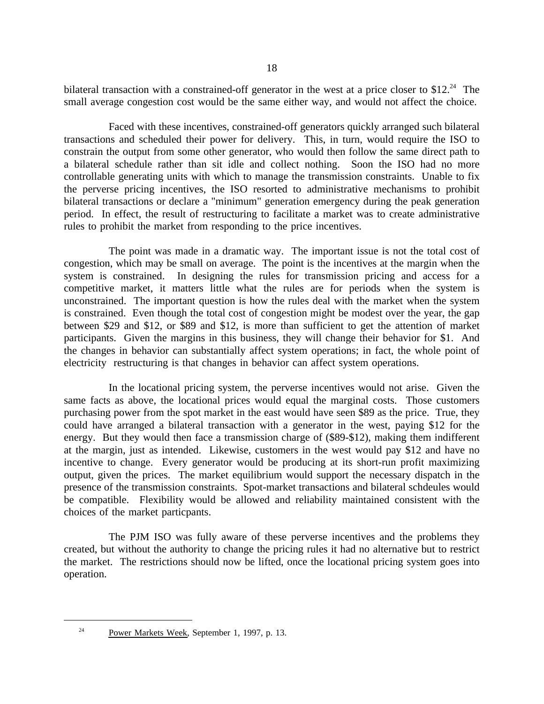bilateral transaction with a constrained-off generator in the west at a price closer to  $$12<sup>24</sup>$ . The small average congestion cost would be the same either way, and would not affect the choice.

Faced with these incentives, constrained-off generators quickly arranged such bilateral transactions and scheduled their power for delivery. This, in turn, would require the ISO to constrain the output from some other generator, who would then follow the same direct path to a bilateral schedule rather than sit idle and collect nothing. Soon the ISO had no more controllable generating units with which to manage the transmission constraints. Unable to fix the perverse pricing incentives, the ISO resorted to administrative mechanisms to prohibit bilateral transactions or declare a "minimum" generation emergency during the peak generation period. In effect, the result of restructuring to facilitate a market was to create administrative rules to prohibit the market from responding to the price incentives.

The point was made in a dramatic way. The important issue is not the total cost of congestion, which may be small on average. The point is the incentives at the margin when the system is constrained. In designing the rules for transmission pricing and access for a competitive market, it matters little what the rules are for periods when the system is unconstrained. The important question is how the rules deal with the market when the system is constrained. Even though the total cost of congestion might be modest over the year, the gap between \$29 and \$12, or \$89 and \$12, is more than sufficient to get the attention of market participants. Given the margins in this business, they will change their behavior for \$1. And the changes in behavior can substantially affect system operations; in fact, the whole point of electricity restructuring is that changes in behavior can affect system operations.

In the locational pricing system, the perverse incentives would not arise. Given the same facts as above, the locational prices would equal the marginal costs. Those customers purchasing power from the spot market in the east would have seen \$89 as the price. True, they could have arranged a bilateral transaction with a generator in the west, paying \$12 for the energy. But they would then face a transmission charge of (\$89-\$12), making them indifferent at the margin, just as intended. Likewise, customers in the west would pay \$12 and have no incentive to change. Every generator would be producing at its short-run profit maximizing output, given the prices. The market equilibrium would support the necessary dispatch in the presence of the transmission constraints. Spot-market transactions and bilateral schdeules would be compatible. Flexibility would be allowed and reliability maintained consistent with the choices of the market particpants.

The PJM ISO was fully aware of these perverse incentives and the problems they created, but without the authority to change the pricing rules it had no alternative but to restrict the market. The restrictions should now be lifted, once the locational pricing system goes into operation.

<sup>24</sup> Power Markets Week, September 1, 1997, p. 13.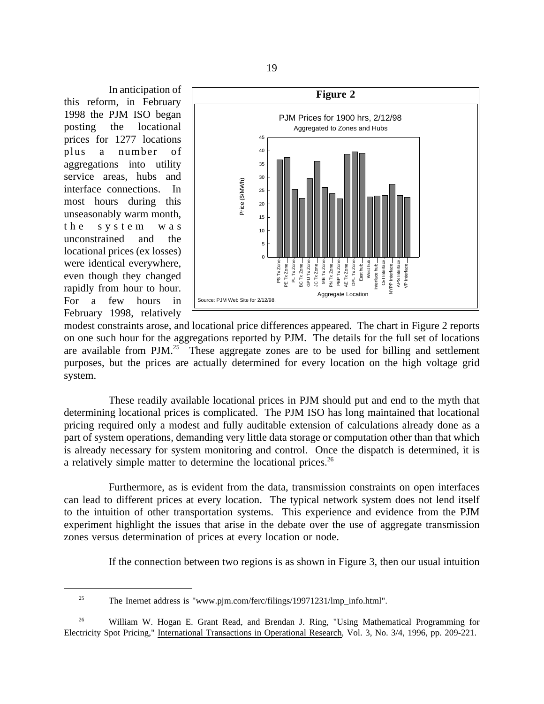In anticipation of 1998 the PJM ISO began posting the locational prices for 1277 locations plus a number of aggregations into utility service areas, hubs and interface connections. In most hours during this unseasonably warm month, the system was unconstrained and the locational prices (ex losses) were identical everywhere, even though they changed rapidly from hour to hour. For a few hours in February 1998, relatively



modest constraints arose, and locational price differences appeared. The chart in Figure 2 reports on one such hour for the aggregations reported by PJM. The details for the full set of locations are available from PJM.<sup>25</sup> These aggregate zones are to be used for billing and settlement purposes, but the prices are actually determined for every location on the high voltage grid system.

These readily available locational prices in PJM should put and end to the myth that determining locational prices is complicated. The PJM ISO has long maintained that locational pricing required only a modest and fully auditable extension of calculations already done as a part of system operations, demanding very little data storage or computation other than that which is already necessary for system monitoring and control. Once the dispatch is determined, it is a relatively simple matter to determine the locational prices. $2<sup>6</sup>$ 

Furthermore, as is evident from the data, transmission constraints on open interfaces can lead to different prices at every location. The typical network system does not lend itself to the intuition of other transportation systems. This experience and evidence from the PJM experiment highlight the issues that arise in the debate over the use of aggregate transmission zones versus determination of prices at every location or node.

If the connection between two regions is as shown in Figure 3, then our usual intuition

<sup>&</sup>lt;sup>25</sup> The Inernet address is "www.pjm.com/ferc/filings/19971231/lmp\_info.html".

<sup>&</sup>lt;sup>26</sup> William W. Hogan E. Grant Read, and Brendan J. Ring, "Using Mathematical Programming for Electricity Spot Pricing," International Transactions in Operational Research, Vol. 3, No. 3/4, 1996, pp. 209-221.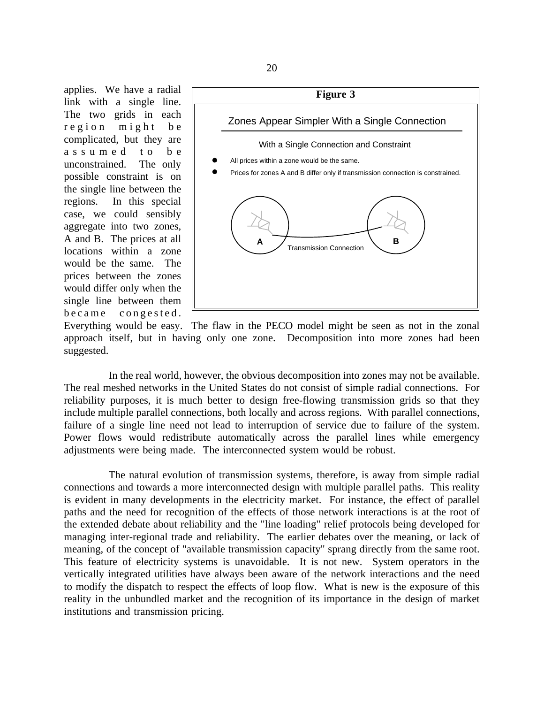applies. We have a radial The two grids in each region might be complicated, but they are assumed to be unconstrained. The only possible constraint is on the single line between the regions. In this special case, we could sensibly aggregate into two zones, A and B. The prices at all locations within a zone would be the same. The prices between the zones would differ only when the single line between them became congested.



Everything would be easy. The flaw in the PECO model might be seen as not in the zonal approach itself, but in having only one zone. Decomposition into more zones had been suggested.

In the real world, however, the obvious decomposition into zones may not be available. The real meshed networks in the United States do not consist of simple radial connections. For reliability purposes, it is much better to design free-flowing transmission grids so that they include multiple parallel connections, both locally and across regions. With parallel connections, failure of a single line need not lead to interruption of service due to failure of the system. Power flows would redistribute automatically across the parallel lines while emergency adjustments were being made. The interconnected system would be robust.

The natural evolution of transmission systems, therefore, is away from simple radial connections and towards a more interconnected design with multiple parallel paths. This reality is evident in many developments in the electricity market. For instance, the effect of parallel paths and the need for recognition of the effects of those network interactions is at the root of the extended debate about reliability and the "line loading" relief protocols being developed for managing inter-regional trade and reliability. The earlier debates over the meaning, or lack of meaning, of the concept of "available transmission capacity" sprang directly from the same root. This feature of electricity systems is unavoidable. It is not new. System operators in the vertically integrated utilities have always been aware of the network interactions and the need to modify the dispatch to respect the effects of loop flow. What is new is the exposure of this reality in the unbundled market and the recognition of its importance in the design of market institutions and transmission pricing.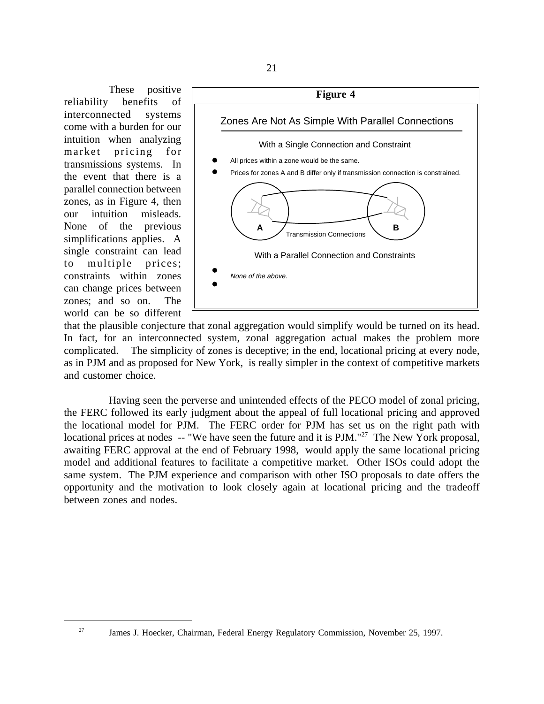These positive interconnected systems come with a burden for our intuition when analyzing market pricing for transmissions systems. In the event that there is a parallel connection between zones, as in Figure 4, then our intuition misleads. None of the previous simplifications applies. A single constraint can lead to multiple prices; constraints within zones can change prices between zones; and so on. The world can be so different



that the plausible conjecture that zonal aggregation would simplify would be turned on its head. In fact, for an interconnected system, zonal aggregation actual makes the problem more complicated. The simplicity of zones is deceptive; in the end, locational pricing at every node, as in PJM and as proposed for New York, is really simpler in the context of competitive markets and customer choice.

Having seen the perverse and unintended effects of the PECO model of zonal pricing, the FERC followed its early judgment about the appeal of full locational pricing and approved the locational model for PJM. The FERC order for PJM has set us on the right path with locational prices at nodes -- "We have seen the future and it is PJM."<sup>27</sup> The New York proposal, awaiting FERC approval at the end of February 1998, would apply the same locational pricing model and additional features to facilitate a competitive market. Other ISOs could adopt the same system. The PJM experience and comparison with other ISO proposals to date offers the opportunity and the motivation to look closely again at locational pricing and the tradeoff between zones and nodes.

<sup>&</sup>lt;sup>27</sup> James J. Hoecker, Chairman, Federal Energy Regulatory Commission, November 25, 1997.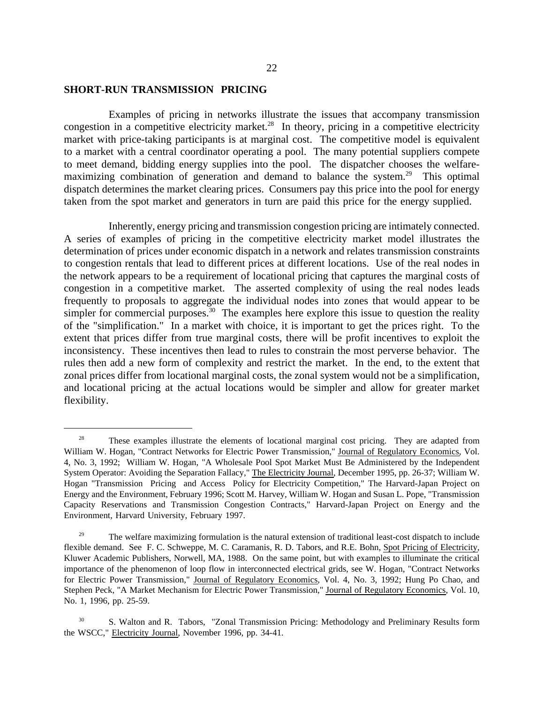#### **SHORT-RUN TRANSMISSION PRICING**

Examples of pricing in networks illustrate the issues that accompany transmission congestion in a competitive electricity market.<sup>28</sup> In theory, pricing in a competitive electricity market with price-taking participants is at marginal cost. The competitive model is equivalent to a market with a central coordinator operating a pool. The many potential suppliers compete to meet demand, bidding energy supplies into the pool. The dispatcher chooses the welfaremaximizing combination of generation and demand to balance the system.<sup>29</sup> This optimal dispatch determines the market clearing prices. Consumers pay this price into the pool for energy taken from the spot market and generators in turn are paid this price for the energy supplied.

Inherently, energy pricing and transmission congestion pricing are intimately connected. A series of examples of pricing in the competitive electricity market model illustrates the determination of prices under economic dispatch in a network and relates transmission constraints to congestion rentals that lead to different prices at different locations. Use of the real nodes in the network appears to be a requirement of locational pricing that captures the marginal costs of congestion in a competitive market. The asserted complexity of using the real nodes leads frequently to proposals to aggregate the individual nodes into zones that would appear to be simpler for commercial purposes.<sup>30</sup> The examples here explore this issue to question the reality of the "simplification." In a market with choice, it is important to get the prices right. To the extent that prices differ from true marginal costs, there will be profit incentives to exploit the inconsistency. These incentives then lead to rules to constrain the most perverse behavior. The rules then add a new form of complexity and restrict the market. In the end, to the extent that zonal prices differ from locational marginal costs, the zonal system would not be a simplification, and locational pricing at the actual locations would be simpler and allow for greater market flexibility.

<sup>&</sup>lt;sup>28</sup> These examples illustrate the elements of locational marginal cost pricing. They are adapted from William W. Hogan, "Contract Networks for Electric Power Transmission," Journal of Regulatory Economics, Vol. 4, No. 3, 1992; William W. Hogan, "A Wholesale Pool Spot Market Must Be Administered by the Independent System Operator: Avoiding the Separation Fallacy," The Electricity Journal, December 1995, pp. 26-37; William W. Hogan "Transmission Pricing and Access Policy for Electricity Competition," The Harvard-Japan Project on Energy and the Environment, February 1996; Scott M. Harvey, William W. Hogan and Susan L. Pope, "Transmission Capacity Reservations and Transmission Congestion Contracts," Harvard-Japan Project on Energy and the Environment, Harvard University, February 1997.

<sup>&</sup>lt;sup>29</sup> The welfare maximizing formulation is the natural extension of traditional least-cost dispatch to include flexible demand. See F. C. Schweppe, M. C. Caramanis, R. D. Tabors, and R.E. Bohn, Spot Pricing of Electricity, Kluwer Academic Publishers, Norwell, MA, 1988. On the same point, but with examples to illuminate the critical importance of the phenomenon of loop flow in interconnected electrical grids, see W. Hogan, "Contract Networks for Electric Power Transmission," Journal of Regulatory Economics, Vol. 4, No. 3, 1992; Hung Po Chao, and Stephen Peck, "A Market Mechanism for Electric Power Transmission," Journal of Regulatory Economics, Vol. 10, No. 1, 1996, pp. 25-59.

<sup>30</sup> S. Walton and R. Tabors, "Zonal Transmission Pricing: Methodology and Preliminary Results form the WSCC," Electricity Journal, November 1996, pp. 34-41.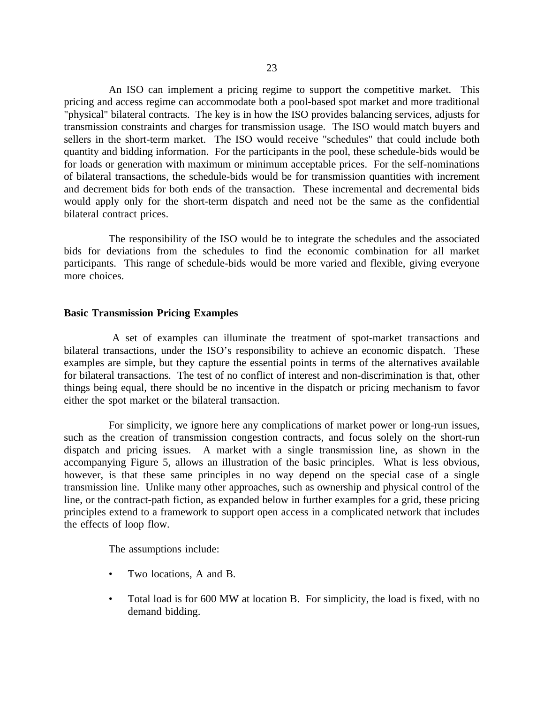An ISO can implement a pricing regime to support the competitive market. This pricing and access regime can accommodate both a pool-based spot market and more traditional "physical" bilateral contracts. The key is in how the ISO provides balancing services, adjusts for transmission constraints and charges for transmission usage. The ISO would match buyers and sellers in the short-term market. The ISO would receive "schedules" that could include both quantity and bidding information. For the participants in the pool, these schedule-bids would be for loads or generation with maximum or minimum acceptable prices. For the self-nominations of bilateral transactions, the schedule-bids would be for transmission quantities with increment and decrement bids for both ends of the transaction. These incremental and decremental bids would apply only for the short-term dispatch and need not be the same as the confidential bilateral contract prices.

The responsibility of the ISO would be to integrate the schedules and the associated bids for deviations from the schedules to find the economic combination for all market participants. This range of schedule-bids would be more varied and flexible, giving everyone more choices.

## **Basic Transmission Pricing Examples**

A set of examples can illuminate the treatment of spot-market transactions and bilateral transactions, under the ISO's responsibility to achieve an economic dispatch. These examples are simple, but they capture the essential points in terms of the alternatives available for bilateral transactions. The test of no conflict of interest and non-discrimination is that, other things being equal, there should be no incentive in the dispatch or pricing mechanism to favor either the spot market or the bilateral transaction.

For simplicity, we ignore here any complications of market power or long-run issues, such as the creation of transmission congestion contracts, and focus solely on the short-run dispatch and pricing issues. A market with a single transmission line, as shown in the accompanying Figure 5, allows an illustration of the basic principles. What is less obvious, however, is that these same principles in no way depend on the special case of a single transmission line. Unlike many other approaches, such as ownership and physical control of the line, or the contract-path fiction, as expanded below in further examples for a grid, these pricing principles extend to a framework to support open access in a complicated network that includes the effects of loop flow.

The assumptions include:

- Two locations, A and B.
- Total load is for 600 MW at location B. For simplicity, the load is fixed, with no demand bidding.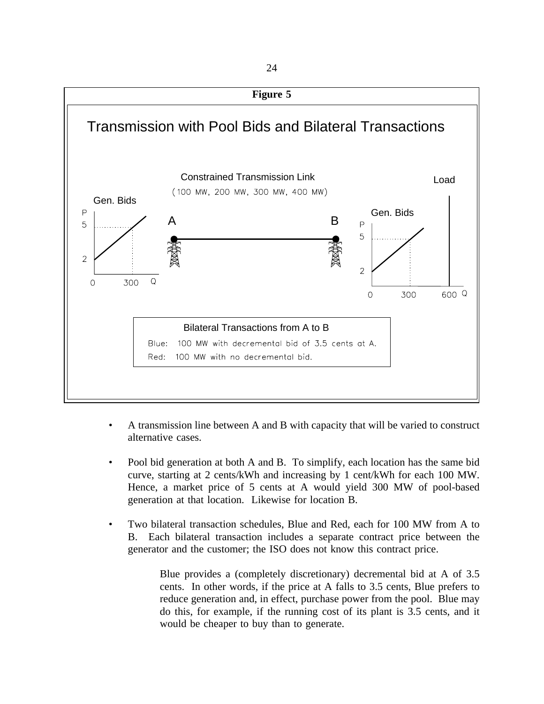

- A transmission line between A and B with capacity that will be varied to construct alternative cases.
- Pool bid generation at both A and B. To simplify, each location has the same bid curve, starting at 2 cents/kWh and increasing by 1 cent/kWh for each 100 MW. Hence, a market price of 5 cents at A would yield 300 MW of pool-based generation at that location. Likewise for location B.
- Two bilateral transaction schedules, Blue and Red, each for 100 MW from A to B. Each bilateral transaction includes a separate contract price between the generator and the customer; the ISO does not know this contract price.

Blue provides a (completely discretionary) decremental bid at A of 3.5 cents. In other words, if the price at A falls to 3.5 cents, Blue prefers to reduce generation and, in effect, purchase power from the pool. Blue may do this, for example, if the running cost of its plant is 3.5 cents, and it would be cheaper to buy than to generate.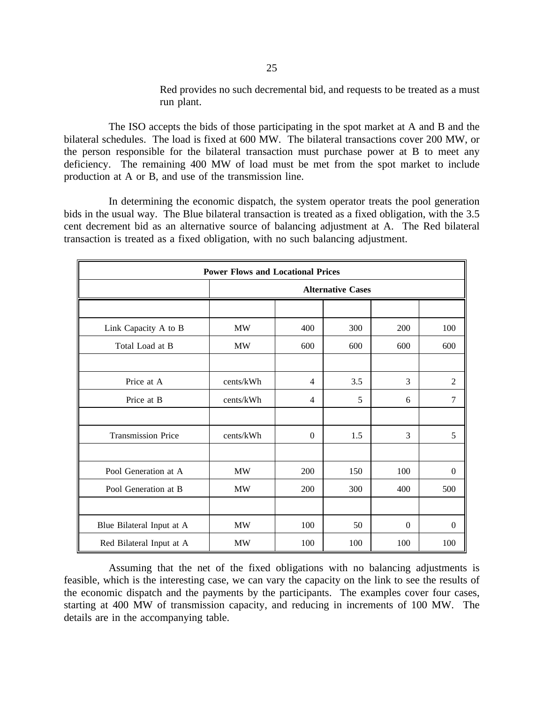## Red provides no such decremental bid, and requests to be treated as a must run plant.

The ISO accepts the bids of those participating in the spot market at A and B and the bilateral schedules. The load is fixed at 600 MW. The bilateral transactions cover 200 MW, or the person responsible for the bilateral transaction must purchase power at B to meet any deficiency. The remaining 400 MW of load must be met from the spot market to include production at A or B, and use of the transmission line.

In determining the economic dispatch, the system operator treats the pool generation bids in the usual way. The Blue bilateral transaction is treated as a fixed obligation, with the 3.5 cent decrement bid as an alternative source of balancing adjustment at A. The Red bilateral transaction is treated as a fixed obligation, with no such balancing adjustment.

| <b>Power Flows and Locational Prices</b> |                          |                |     |          |                  |  |  |
|------------------------------------------|--------------------------|----------------|-----|----------|------------------|--|--|
|                                          | <b>Alternative Cases</b> |                |     |          |                  |  |  |
|                                          |                          |                |     |          |                  |  |  |
| Link Capacity A to B                     | <b>MW</b>                | 400            | 300 | 200      | 100              |  |  |
| Total Load at B                          | <b>MW</b>                | 600            | 600 | 600      | 600              |  |  |
|                                          |                          |                |     |          |                  |  |  |
| Price at A                               | cents/kWh                | $\overline{4}$ | 3.5 | 3        | $\overline{2}$   |  |  |
| Price at B                               | cents/kWh                | 4              | 5   | 6        | 7                |  |  |
|                                          |                          |                |     |          |                  |  |  |
| <b>Transmission Price</b>                | cents/kWh                | $\theta$       | 1.5 | 3        | 5                |  |  |
|                                          |                          |                |     |          |                  |  |  |
| Pool Generation at A                     | <b>MW</b>                | 200            | 150 | 100      | $\boldsymbol{0}$ |  |  |
| Pool Generation at B                     | <b>MW</b>                | 200            | 300 | 400      | 500              |  |  |
|                                          |                          |                |     |          |                  |  |  |
| Blue Bilateral Input at A                | <b>MW</b>                | 100            | 50  | $\theta$ | $\boldsymbol{0}$ |  |  |
| Red Bilateral Input at A                 | <b>MW</b>                | 100            | 100 | 100      | 100              |  |  |

Assuming that the net of the fixed obligations with no balancing adjustments is feasible, which is the interesting case, we can vary the capacity on the link to see the results of the economic dispatch and the payments by the participants. The examples cover four cases, starting at 400 MW of transmission capacity, and reducing in increments of 100 MW. The details are in the accompanying table.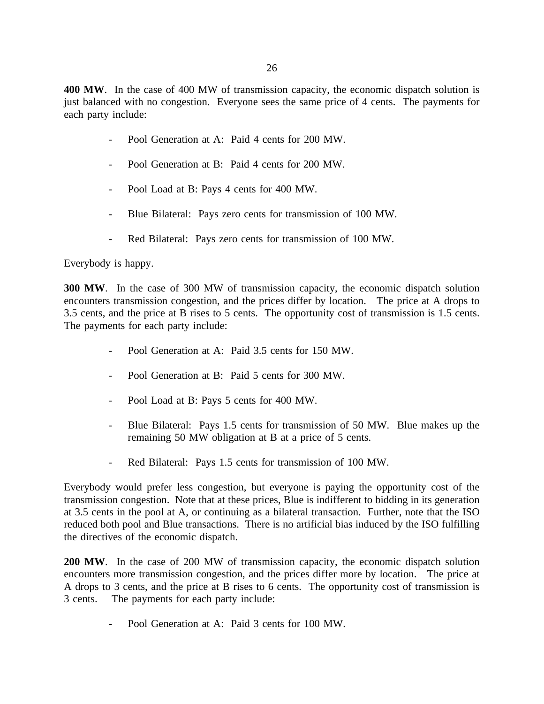**400 MW**. In the case of 400 MW of transmission capacity, the economic dispatch solution is just balanced with no congestion. Everyone sees the same price of 4 cents. The payments for each party include:

- Pool Generation at A: Paid 4 cents for 200 MW.
- Pool Generation at B: Paid 4 cents for 200 MW.
- Pool Load at B: Pays 4 cents for 400 MW.
- Blue Bilateral: Pays zero cents for transmission of 100 MW.
- Red Bilateral: Pays zero cents for transmission of 100 MW.

Everybody is happy.

**300 MW**. In the case of 300 MW of transmission capacity, the economic dispatch solution encounters transmission congestion, and the prices differ by location. The price at A drops to 3.5 cents, and the price at B rises to 5 cents. The opportunity cost of transmission is 1.5 cents. The payments for each party include:

- Pool Generation at A: Paid 3.5 cents for 150 MW.
- Pool Generation at B: Paid 5 cents for 300 MW.
- Pool Load at B: Pays 5 cents for 400 MW.
- Blue Bilateral: Pays 1.5 cents for transmission of 50 MW. Blue makes up the remaining 50 MW obligation at B at a price of 5 cents.
- Red Bilateral: Pays 1.5 cents for transmission of 100 MW.

Everybody would prefer less congestion, but everyone is paying the opportunity cost of the transmission congestion. Note that at these prices, Blue is indifferent to bidding in its generation at 3.5 cents in the pool at A, or continuing as a bilateral transaction. Further, note that the ISO reduced both pool and Blue transactions. There is no artificial bias induced by the ISO fulfilling the directives of the economic dispatch.

**200 MW**. In the case of 200 MW of transmission capacity, the economic dispatch solution encounters more transmission congestion, and the prices differ more by location. The price at A drops to 3 cents, and the price at B rises to 6 cents. The opportunity cost of transmission is 3 cents. The payments for each party include:

Pool Generation at A: Paid 3 cents for 100 MW.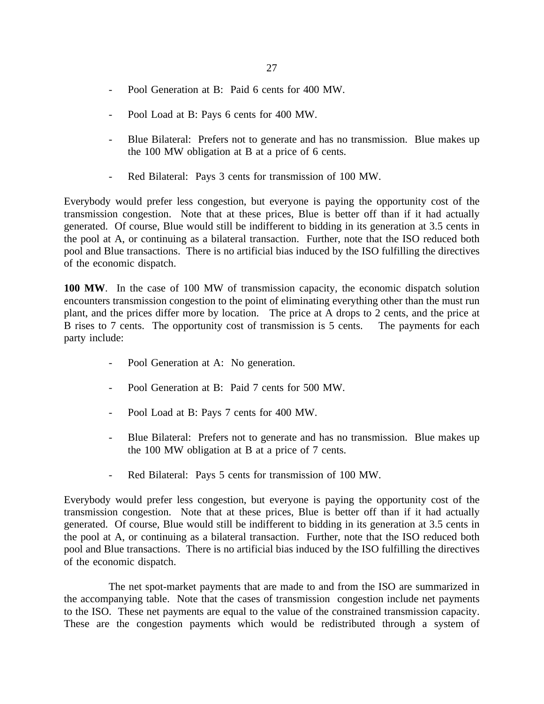- Pool Generation at B: Paid 6 cents for 400 MW.
- Pool Load at B: Pays 6 cents for 400 MW.
- Blue Bilateral: Prefers not to generate and has no transmission. Blue makes up the 100 MW obligation at B at a price of 6 cents.
- Red Bilateral: Pays 3 cents for transmission of 100 MW.

Everybody would prefer less congestion, but everyone is paying the opportunity cost of the transmission congestion. Note that at these prices, Blue is better off than if it had actually generated. Of course, Blue would still be indifferent to bidding in its generation at 3.5 cents in the pool at A, or continuing as a bilateral transaction. Further, note that the ISO reduced both pool and Blue transactions. There is no artificial bias induced by the ISO fulfilling the directives of the economic dispatch.

**100 MW**. In the case of 100 MW of transmission capacity, the economic dispatch solution encounters transmission congestion to the point of eliminating everything other than the must run plant, and the prices differ more by location. The price at A drops to 2 cents, and the price at B rises to 7 cents. The opportunity cost of transmission is 5 cents. The payments for each party include:

- Pool Generation at A: No generation.
- Pool Generation at B: Paid 7 cents for 500 MW.
- Pool Load at B: Pays 7 cents for 400 MW.
- Blue Bilateral: Prefers not to generate and has no transmission. Blue makes up the 100 MW obligation at B at a price of 7 cents.
- Red Bilateral: Pays 5 cents for transmission of 100 MW.

Everybody would prefer less congestion, but everyone is paying the opportunity cost of the transmission congestion. Note that at these prices, Blue is better off than if it had actually generated. Of course, Blue would still be indifferent to bidding in its generation at 3.5 cents in the pool at A, or continuing as a bilateral transaction. Further, note that the ISO reduced both pool and Blue transactions. There is no artificial bias induced by the ISO fulfilling the directives of the economic dispatch.

The net spot-market payments that are made to and from the ISO are summarized in the accompanying table. Note that the cases of transmission congestion include net payments to the ISO. These net payments are equal to the value of the constrained transmission capacity. These are the congestion payments which would be redistributed through a system of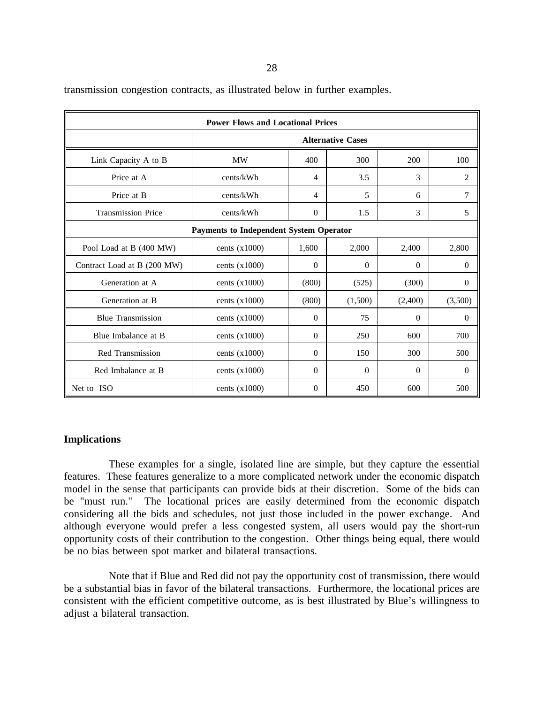| <b>Power Flows and Locational Prices</b>       |                          |          |          |          |                |  |  |
|------------------------------------------------|--------------------------|----------|----------|----------|----------------|--|--|
|                                                | <b>Alternative Cases</b> |          |          |          |                |  |  |
| Link Capacity A to B                           | <b>MW</b>                | 400      | 300      | 200      | 100            |  |  |
| Price at A                                     | cents/kWh                | 4        | 3.5      | 3        | 2              |  |  |
| Price at B                                     | cents/kWh                | 4        | 5        | 6        | 7              |  |  |
| <b>Transmission Price</b>                      | cents/kWh                | $\Omega$ | 1.5      | 3        | 5              |  |  |
| <b>Payments to Independent System Operator</b> |                          |          |          |          |                |  |  |
| Pool Load at B (400 MW)                        | cents $(x1000)$          | 1,600    | 2,000    | 2,400    | 2,800          |  |  |
| Contract Load at B (200 MW)                    | cents $(x1000)$          | $\Omega$ | $\Omega$ | $\Omega$ | $\Omega$       |  |  |
| Generation at A                                | cents $(x1000)$          | (800)    | (525)    | (300)    | $\overline{0}$ |  |  |
| Generation at B                                | cents $(x1000)$          | (800)    | (1,500)  | (2,400)  | (3,500)        |  |  |
| <b>Blue Transmission</b>                       | cents $(x1000)$          | $\Omega$ | 75       | $\Omega$ | $\overline{0}$ |  |  |
| Blue Imbalance at B                            | cents $(x1000)$          | $\Omega$ | 250      | 600      | 700            |  |  |
| Red Transmission                               | cents $(x1000)$          | $\Omega$ | 150      | 300      | 500            |  |  |
| Red Imbalance at B                             | cents $(x1000)$          | $\Omega$ | $\Omega$ | $\Omega$ | $\Omega$       |  |  |
| Net to ISO                                     | cents $(x1000)$          | $\Omega$ | 450      | 600      | 500            |  |  |

transmission congestion contracts, as illustrated below in further examples.

## **Implications**

These examples for a single, isolated line are simple, but they capture the essential features. These features generalize to a more complicated network under the economic dispatch model in the sense that participants can provide bids at their discretion. Some of the bids can be "must run." The locational prices are easily determined from the economic dispatch considering all the bids and schedules, not just those included in the power exchange. And although everyone would prefer a less congested system, all users would pay the short-run opportunity costs of their contribution to the congestion. Other things being equal, there would be no bias between spot market and bilateral transactions.

Note that if Blue and Red did not pay the opportunity cost of transmission, there would be a substantial bias in favor of the bilateral transactions. Furthermore, the locational prices are consistent with the efficient competitive outcome, as is best illustrated by Blue's willingness to adjust a bilateral transaction.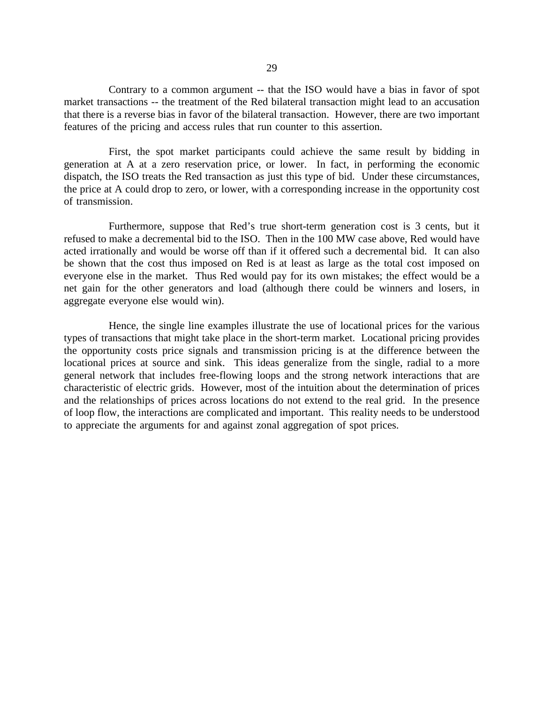Contrary to a common argument -- that the ISO would have a bias in favor of spot market transactions -- the treatment of the Red bilateral transaction might lead to an accusation that there is a reverse bias in favor of the bilateral transaction. However, there are two important features of the pricing and access rules that run counter to this assertion.

First, the spot market participants could achieve the same result by bidding in generation at A at a zero reservation price, or lower. In fact, in performing the economic dispatch, the ISO treats the Red transaction as just this type of bid. Under these circumstances, the price at A could drop to zero, or lower, with a corresponding increase in the opportunity cost of transmission.

Furthermore, suppose that Red's true short-term generation cost is 3 cents, but it refused to make a decremental bid to the ISO. Then in the 100 MW case above, Red would have acted irrationally and would be worse off than if it offered such a decremental bid. It can also be shown that the cost thus imposed on Red is at least as large as the total cost imposed on everyone else in the market. Thus Red would pay for its own mistakes; the effect would be a net gain for the other generators and load (although there could be winners and losers, in aggregate everyone else would win).

Hence, the single line examples illustrate the use of locational prices for the various types of transactions that might take place in the short-term market. Locational pricing provides the opportunity costs price signals and transmission pricing is at the difference between the locational prices at source and sink. This ideas generalize from the single, radial to a more general network that includes free-flowing loops and the strong network interactions that are characteristic of electric grids. However, most of the intuition about the determination of prices and the relationships of prices across locations do not extend to the real grid. In the presence of loop flow, the interactions are complicated and important. This reality needs to be understood to appreciate the arguments for and against zonal aggregation of spot prices.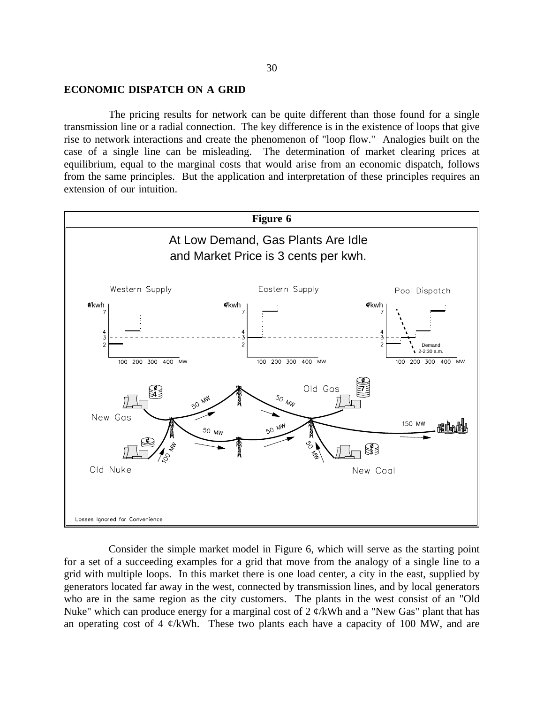#### **ECONOMIC DISPATCH ON A GRID**

The pricing results for network can be quite different than those found for a single transmission line or a radial connection. The key difference is in the existence of loops that give rise to network interactions and create the phenomenon of "loop flow." Analogies built on the case of a single line can be misleading. The determination of market clearing prices at equilibrium, equal to the marginal costs that would arise from an economic dispatch, follows from the same principles. But the application and interpretation of these principles requires an extension of our intuition.



Consider the simple market model in Figure 6, which will serve as the starting point for a set of a succeeding examples for a grid that move from the analogy of a single line to a grid with multiple loops. In this market there is one load center, a city in the east, supplied by generators located far away in the west, connected by transmission lines, and by local generators who are in the same region as the city customers. The plants in the west consist of an "Old Nuke" which can produce energy for a marginal cost of  $2 \frac{\varphi}{kWh}$  and a "New Gas" plant that has an operating cost of 4  $\phi$ /kWh. These two plants each have a capacity of 100 MW, and are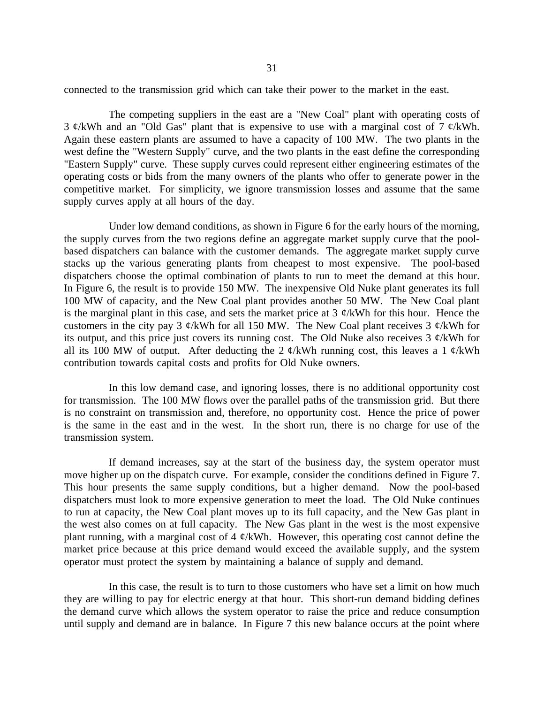connected to the transmission grid which can take their power to the market in the east.

The competing suppliers in the east are a "New Coal" plant with operating costs of 3  $\phi$ /kWh and an "Old Gas" plant that is expensive to use with a marginal cost of 7  $\phi$ /kWh. Again these eastern plants are assumed to have a capacity of 100 MW. The two plants in the west define the "Western Supply" curve, and the two plants in the east define the corresponding "Eastern Supply" curve. These supply curves could represent either engineering estimates of the operating costs or bids from the many owners of the plants who offer to generate power in the competitive market. For simplicity, we ignore transmission losses and assume that the same supply curves apply at all hours of the day.

Under low demand conditions, as shown in Figure 6 for the early hours of the morning, the supply curves from the two regions define an aggregate market supply curve that the poolbased dispatchers can balance with the customer demands. The aggregate market supply curve stacks up the various generating plants from cheapest to most expensive. The pool-based dispatchers choose the optimal combination of plants to run to meet the demand at this hour. In Figure 6, the result is to provide 150 MW. The inexpensive Old Nuke plant generates its full 100 MW of capacity, and the New Coal plant provides another 50 MW. The New Coal plant is the marginal plant in this case, and sets the market price at  $3 \phi/kWh$  for this hour. Hence the customers in the city pay 3  $\phi$ /kWh for all 150 MW. The New Coal plant receives 3  $\phi$ /kWh for its output, and this price just covers its running cost. The Old Nuke also receives  $3 \phi/kWh$  for all its 100 MW of output. After deducting the 2  $\phi$ /kWh running cost, this leaves a 1  $\phi$ /kWh contribution towards capital costs and profits for Old Nuke owners.

In this low demand case, and ignoring losses, there is no additional opportunity cost for transmission. The 100 MW flows over the parallel paths of the transmission grid. But there is no constraint on transmission and, therefore, no opportunity cost. Hence the price of power is the same in the east and in the west. In the short run, there is no charge for use of the transmission system.

If demand increases, say at the start of the business day, the system operator must move higher up on the dispatch curve. For example, consider the conditions defined in Figure 7. This hour presents the same supply conditions, but a higher demand. Now the pool-based dispatchers must look to more expensive generation to meet the load. The Old Nuke continues to run at capacity, the New Coal plant moves up to its full capacity, and the New Gas plant in the west also comes on at full capacity. The New Gas plant in the west is the most expensive plant running, with a marginal cost of 4  $\phi$ /kWh. However, this operating cost cannot define the market price because at this price demand would exceed the available supply, and the system operator must protect the system by maintaining a balance of supply and demand.

In this case, the result is to turn to those customers who have set a limit on how much they are willing to pay for electric energy at that hour. This short-run demand bidding defines the demand curve which allows the system operator to raise the price and reduce consumption until supply and demand are in balance. In Figure 7 this new balance occurs at the point where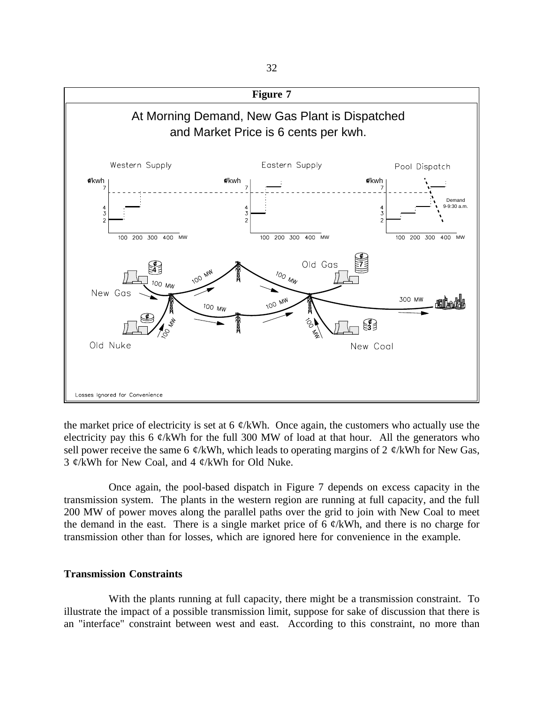

the market price of electricity is set at 6  $\phi$ /kWh. Once again, the customers who actually use the electricity pay this 6  $\mathcal{C}/kWh$  for the full 300 MW of load at that hour. All the generators who sell power receive the same 6  $\psi$ /kWh, which leads to operating margins of 2  $\psi$ /kWh for New Gas, 3  $\mathcal{C}/kWh$  for New Coal, and 4  $\mathcal{C}/kWh$  for Old Nuke.

Once again, the pool-based dispatch in Figure 7 depends on excess capacity in the transmission system. The plants in the western region are running at full capacity, and the full 200 MW of power moves along the parallel paths over the grid to join with New Coal to meet the demand in the east. There is a single market price of  $6 \phi/kWh$ , and there is no charge for transmission other than for losses, which are ignored here for convenience in the example.

## **Transmission Constraints**

With the plants running at full capacity, there might be a transmission constraint. To illustrate the impact of a possible transmission limit, suppose for sake of discussion that there is an "interface" constraint between west and east. According to this constraint, no more than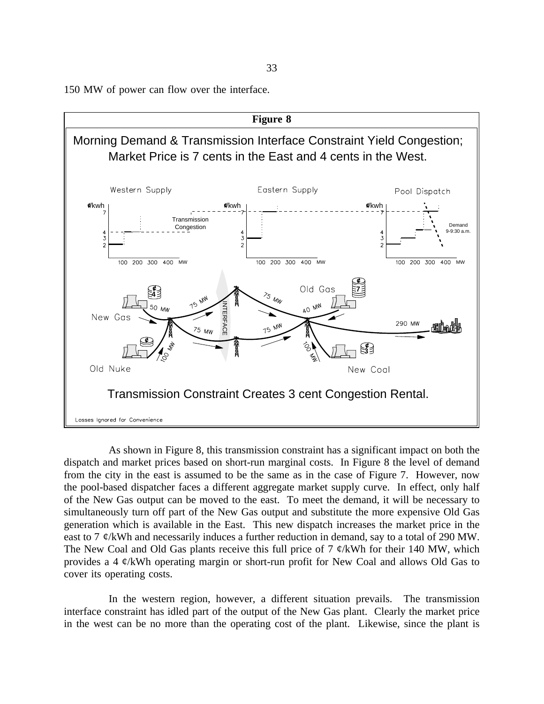150 MW of power can flow over the interface.



dispatch and market prices based on short-run marginal costs. In Figure 8 the level of demand from the city in the east is assumed to be the same as in the case of Figure 7. However, now the pool-based dispatcher faces a different aggregate market supply curve. In effect, only half of the New Gas output can be moved to the east. To meet the demand, it will be necessary to simultaneously turn off part of the New Gas output and substitute the more expensive Old Gas generation which is available in the East. This new dispatch increases the market price in the east to 7  $\varphi$ /kWh and necessarily induces a further reduction in demand, say to a total of 290 MW. The New Coal and Old Gas plants receive this full price of 7  $\varphi$ /kWh for their 140 MW, which provides a 4 ¢/kWh operating margin or short-run profit for New Coal and allows Old Gas to cover its operating costs.

In the western region, however, a different situation prevails. The transmission interface constraint has idled part of the output of the New Gas plant. Clearly the market price in the west can be no more than the operating cost of the plant. Likewise, since the plant is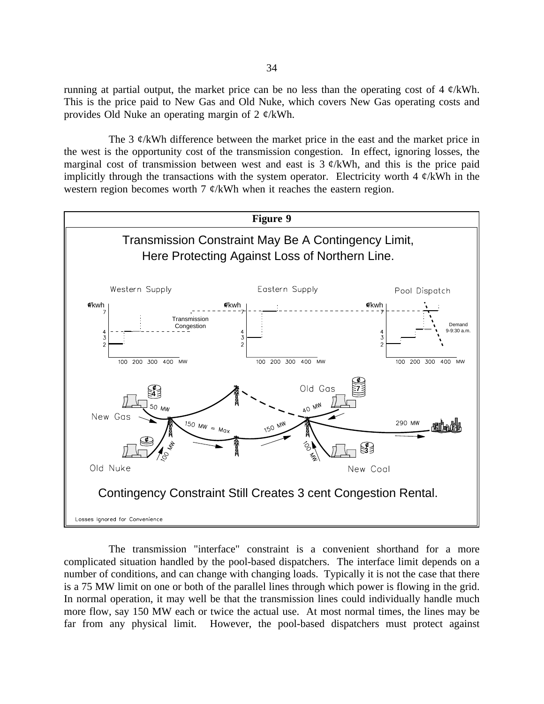running at partial output, the market price can be no less than the operating cost of 4  $\varphi$ /kWh. This is the price paid to New Gas and Old Nuke, which covers New Gas operating costs and provides Old Nuke an operating margin of 2 ¢/kWh.

The 3  $\psi$ /kWh difference between the market price in the east and the market price in the west is the opportunity cost of the transmission congestion. In effect, ignoring losses, the marginal cost of transmission between west and east is  $3 \phi$ /kWh, and this is the price paid implicitly through the transactions with the system operator. Electricity worth 4  $\mathcal{C}/kWh$  in the western region becomes worth 7  $\phi$ /kWh when it reaches the eastern region.



The transmission "interface" constraint is a convenient shorthand for a more complicated situation handled by the pool-based dispatchers. The interface limit depends on a number of conditions, and can change with changing loads. Typically it is not the case that there is a 75 MW limit on one or both of the parallel lines through which power is flowing in the grid. In normal operation, it may well be that the transmission lines could individually handle much more flow, say 150 MW each or twice the actual use. At most normal times, the lines may be far from any physical limit. However, the pool-based dispatchers must protect against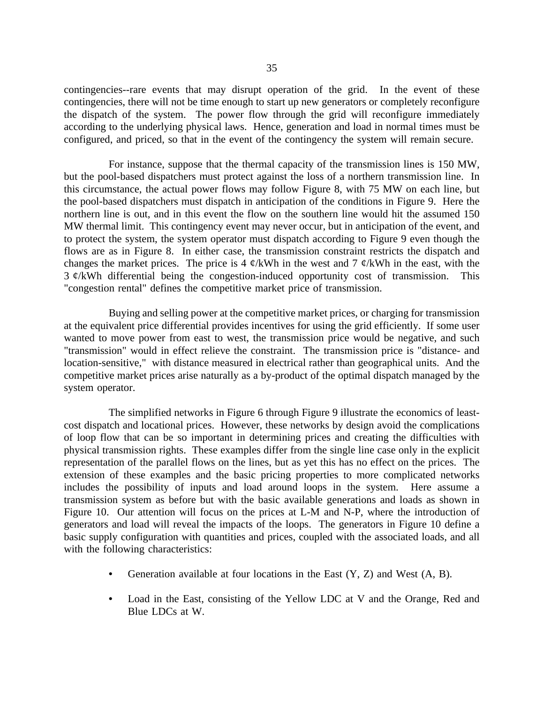contingencies--rare events that may disrupt operation of the grid. In the event of these contingencies, there will not be time enough to start up new generators or completely reconfigure the dispatch of the system. The power flow through the grid will reconfigure immediately according to the underlying physical laws. Hence, generation and load in normal times must be configured, and priced, so that in the event of the contingency the system will remain secure.

For instance, suppose that the thermal capacity of the transmission lines is 150 MW, but the pool-based dispatchers must protect against the loss of a northern transmission line. In this circumstance, the actual power flows may follow Figure 8, with 75 MW on each line, but the pool-based dispatchers must dispatch in anticipation of the conditions in Figure 9. Here the northern line is out, and in this event the flow on the southern line would hit the assumed 150 MW thermal limit. This contingency event may never occur, but in anticipation of the event, and to protect the system, the system operator must dispatch according to Figure 9 even though the flows are as in Figure 8. In either case, the transmission constraint restricts the dispatch and changes the market prices. The price is 4  $\phi$ /kWh in the west and 7  $\phi$ /kWh in the east, with the 3 ¢/kWh differential being the congestion-induced opportunity cost of transmission. This "congestion rental" defines the competitive market price of transmission.

Buying and selling power at the competitive market prices, or charging for transmission at the equivalent price differential provides incentives for using the grid efficiently. If some user wanted to move power from east to west, the transmission price would be negative, and such "transmission" would in effect relieve the constraint. The transmission price is "distance- and location-sensitive," with distance measured in electrical rather than geographical units. And the competitive market prices arise naturally as a by-product of the optimal dispatch managed by the system operator.

The simplified networks in Figure 6 through Figure 9 illustrate the economics of leastcost dispatch and locational prices. However, these networks by design avoid the complications of loop flow that can be so important in determining prices and creating the difficulties with physical transmission rights. These examples differ from the single line case only in the explicit representation of the parallel flows on the lines, but as yet this has no effect on the prices. The extension of these examples and the basic pricing properties to more complicated networks includes the possibility of inputs and load around loops in the system. Here assume a transmission system as before but with the basic available generations and loads as shown in Figure 10. Our attention will focus on the prices at L-M and N-P, where the introduction of generators and load will reveal the impacts of the loops. The generators in Figure 10 define a basic supply configuration with quantities and prices, coupled with the associated loads, and all with the following characteristics:

- Generation available at four locations in the East  $(Y, Z)$  and West  $(A, B)$ .
- **•** Load in the East, consisting of the Yellow LDC at V and the Orange, Red and Blue LDCs at W.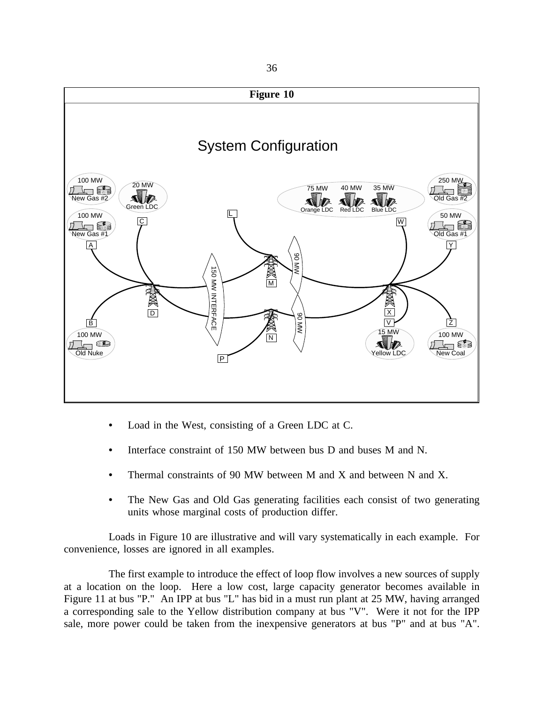

- **•** Load in the West, consisting of a Green LDC at C.
- **•** Interface constraint of 150 MW between bus D and buses M and N.
- **•** Thermal constraints of 90 MW between M and X and between N and X.
- The New Gas and Old Gas generating facilities each consist of two generating units whose marginal costs of production differ.

Loads in Figure 10 are illustrative and will vary systematically in each example. For convenience, losses are ignored in all examples.

The first example to introduce the effect of loop flow involves a new sources of supply at a location on the loop. Here a low cost, large capacity generator becomes available in Figure 11 at bus "P." An IPP at bus "L" has bid in a must run plant at 25 MW, having arranged a corresponding sale to the Yellow distribution company at bus "V". Were it not for the IPP sale, more power could be taken from the inexpensive generators at bus "P" and at bus "A".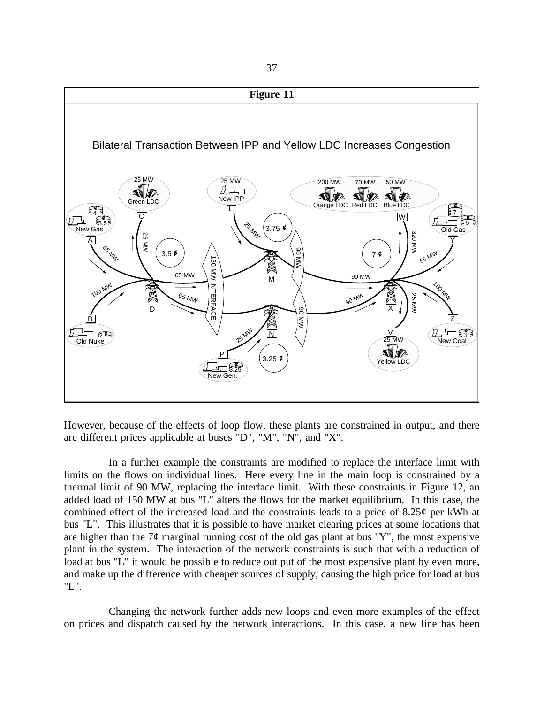

However, because of the effects of loop flow, these plants are constrained in output, and there are different prices applicable at buses "D", "M", "N", and "X".

In a further example the constraints are modified to replace the interface limit with limits on the flows on individual lines. Here every line in the main loop is constrained by a thermal limit of 90 MW, replacing the interface limit. With these constraints in Figure 12, an added load of 150 MW at bus "L" alters the flows for the market equilibrium. In this case, the combined effect of the increased load and the constraints leads to a price of 8.25¢ per kWh at bus "L". This illustrates that it is possible to have market clearing prices at some locations that are higher than the  $7¢$  marginal running cost of the old gas plant at bus "Y", the most expensive plant in the system. The interaction of the network constraints is such that with a reduction of load at bus "L" it would be possible to reduce out put of the most expensive plant by even more, and make up the difference with cheaper sources of supply, causing the high price for load at bus "L".

Changing the network further adds new loops and even more examples of the effect on prices and dispatch caused by the network interactions. In this case, a new line has been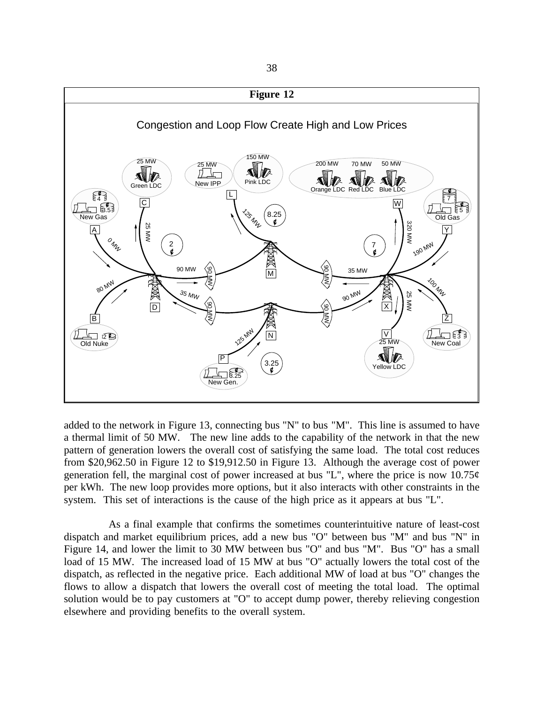



added to the network in Figure 13, connecting bus "N" to bus "M". This line is assumed to have a thermal limit of 50 MW. The new line adds to the capability of the network in that the new pattern of generation lowers the overall cost of satisfying the same load. The total cost reduces from \$20,962.50 in Figure 12 to \$19,912.50 in Figure 13. Although the average cost of power generation fell, the marginal cost of power increased at bus "L", where the price is now  $10.75\phi$ per kWh. The new loop provides more options, but it also interacts with other constraints in the system. This set of interactions is the cause of the high price as it appears at bus "L".

As a final example that confirms the sometimes counterintuitive nature of least-cost dispatch and market equilibrium prices, add a new bus "O" between bus "M" and bus "N" in Figure 14, and lower the limit to 30 MW between bus "O" and bus "M". Bus "O" has a small load of 15 MW. The increased load of 15 MW at bus "O" actually lowers the total cost of the dispatch, as reflected in the negative price. Each additional MW of load at bus "O" changes the flows to allow a dispatch that lowers the overall cost of meeting the total load. The optimal solution would be to pay customers at "O" to accept dump power, thereby relieving congestion elsewhere and providing benefits to the overall system.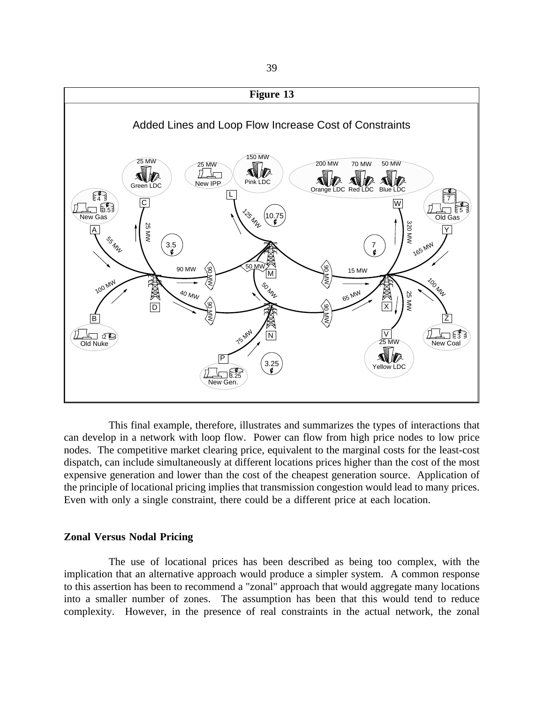

This final example, therefore, illustrates and summarizes the types of interactions that can develop in a network with loop flow. Power can flow from high price nodes to low price nodes. The competitive market clearing price, equivalent to the marginal costs for the least-cost dispatch, can include simultaneously at different locations prices higher than the cost of the most expensive generation and lower than the cost of the cheapest generation source. Application of the principle of locational pricing implies that transmission congestion would lead to many prices. Even with only a single constraint, there could be a different price at each location.

## **Zonal Versus Nodal Pricing**

The use of locational prices has been described as being too complex, with the implication that an alternative approach would produce a simpler system. A common response to this assertion has been to recommend a "zonal" approach that would aggregate many locations into a smaller number of zones. The assumption has been that this would tend to reduce complexity. However, in the presence of real constraints in the actual network, the zonal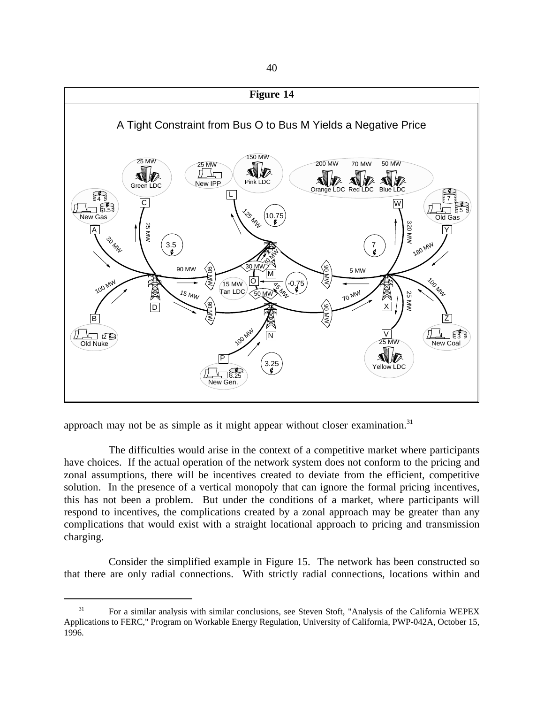

approach may not be as simple as it might appear without closer examination.<sup>31</sup>

The difficulties would arise in the context of a competitive market where participants have choices. If the actual operation of the network system does not conform to the pricing and zonal assumptions, there will be incentives created to deviate from the efficient, competitive solution. In the presence of a vertical monopoly that can ignore the formal pricing incentives, this has not been a problem. But under the conditions of a market, where participants will respond to incentives, the complications created by a zonal approach may be greater than any complications that would exist with a straight locational approach to pricing and transmission charging.

Consider the simplified example in Figure 15. The network has been constructed so that there are only radial connections. With strictly radial connections, locations within and

<sup>&</sup>lt;sup>31</sup> For a similar analysis with similar conclusions, see Steven Stoft, "Analysis of the California WEPEX Applications to FERC," Program on Workable Energy Regulation, University of California, PWP-042A, October 15, 1996.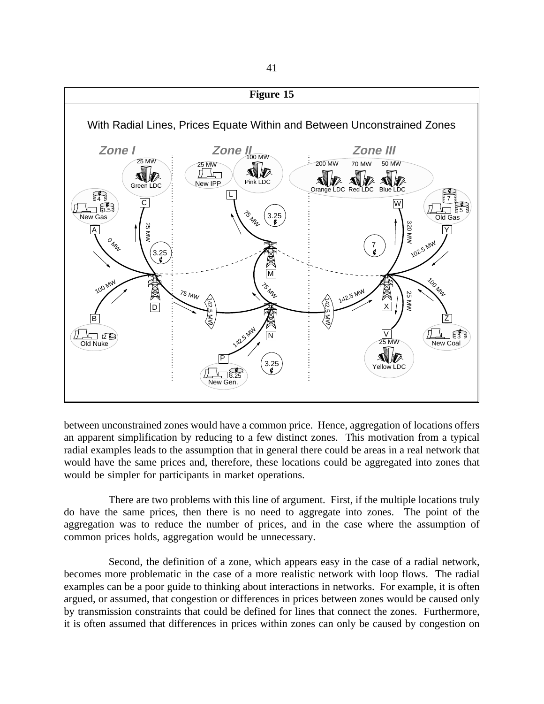

between unconstrained zones would have a common price. Hence, aggregation of locations offers an apparent simplification by reducing to a few distinct zones. This motivation from a typical radial examples leads to the assumption that in general there could be areas in a real network that would have the same prices and, therefore, these locations could be aggregated into zones that would be simpler for participants in market operations.

There are two problems with this line of argument. First, if the multiple locations truly do have the same prices, then there is no need to aggregate into zones. The point of the aggregation was to reduce the number of prices, and in the case where the assumption of common prices holds, aggregation would be unnecessary.

Second, the definition of a zone, which appears easy in the case of a radial network, becomes more problematic in the case of a more realistic network with loop flows. The radial examples can be a poor guide to thinking about interactions in networks. For example, it is often argued, or assumed, that congestion or differences in prices between zones would be caused only by transmission constraints that could be defined for lines that connect the zones. Furthermore, it is often assumed that differences in prices within zones can only be caused by congestion on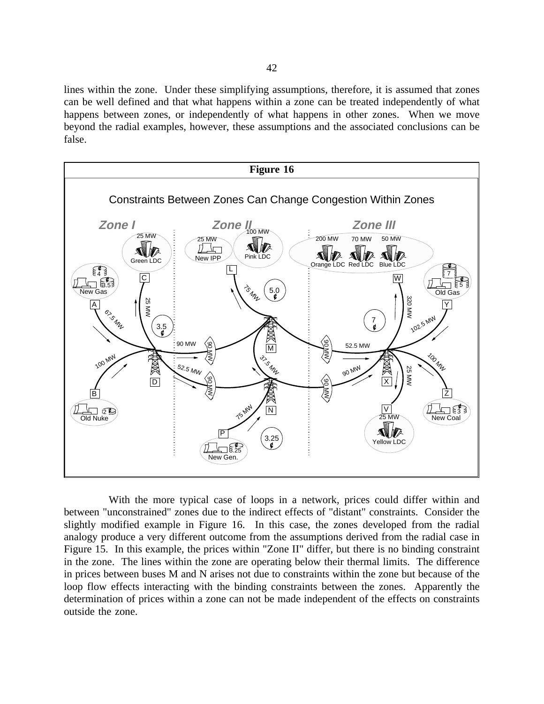lines within the zone. Under these simplifying assumptions, therefore, it is assumed that zones can be well defined and that what happens within a zone can be treated independently of what happens between zones, or independently of what happens in other zones. When we move beyond the radial examples, however, these assumptions and the associated conclusions can be false.



With the more typical case of loops in a network, prices could differ within and between "unconstrained" zones due to the indirect effects of "distant" constraints. Consider the slightly modified example in Figure 16. In this case, the zones developed from the radial analogy produce a very different outcome from the assumptions derived from the radial case in Figure 15. In this example, the prices within "Zone II" differ, but there is no binding constraint in the zone. The lines within the zone are operating below their thermal limits. The difference in prices between buses M and N arises not due to constraints within the zone but because of the loop flow effects interacting with the binding constraints between the zones. Apparently the determination of prices within a zone can not be made independent of the effects on constraints outside the zone.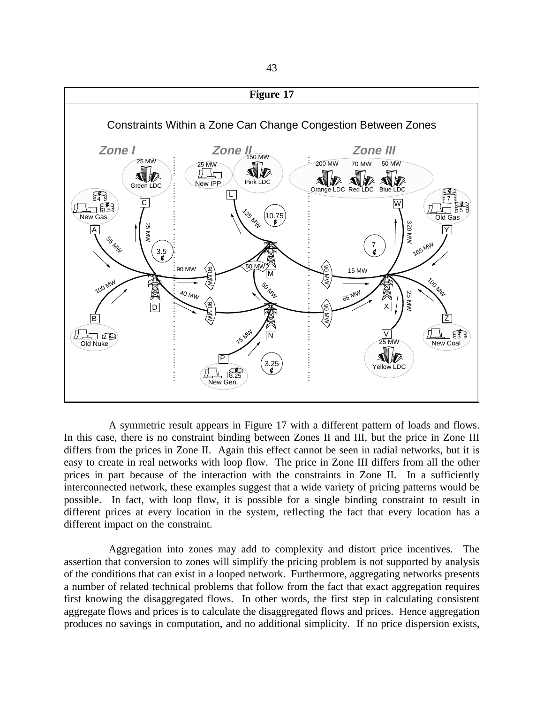

A symmetric result appears in Figure 17 with a different pattern of loads and flows. In this case, there is no constraint binding between Zones II and III, but the price in Zone III differs from the prices in Zone II. Again this effect cannot be seen in radial networks, but it is easy to create in real networks with loop flow. The price in Zone III differs from all the other prices in part because of the interaction with the constraints in Zone II. In a sufficiently interconnected network, these examples suggest that a wide variety of pricing patterns would be possible. In fact, with loop flow, it is possible for a single binding constraint to result in different prices at every location in the system, reflecting the fact that every location has a different impact on the constraint.

Aggregation into zones may add to complexity and distort price incentives. The assertion that conversion to zones will simplify the pricing problem is not supported by analysis of the conditions that can exist in a looped network. Furthermore, aggregating networks presents a number of related technical problems that follow from the fact that exact aggregation requires first knowing the disaggregated flows. In other words, the first step in calculating consistent aggregate flows and prices is to calculate the disaggregated flows and prices. Hence aggregation produces no savings in computation, and no additional simplicity. If no price dispersion exists,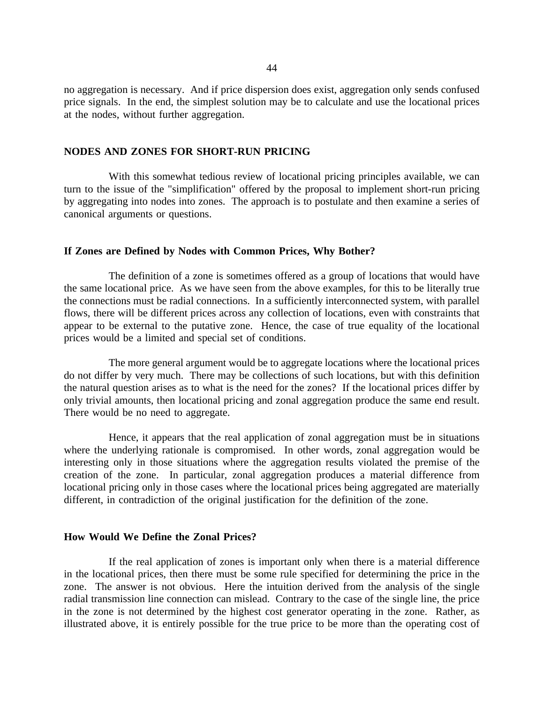no aggregation is necessary. And if price dispersion does exist, aggregation only sends confused price signals. In the end, the simplest solution may be to calculate and use the locational prices at the nodes, without further aggregation.

## **NODES AND ZONES FOR SHORT-RUN PRICING**

With this somewhat tedious review of locational pricing principles available, we can turn to the issue of the "simplification" offered by the proposal to implement short-run pricing by aggregating into nodes into zones. The approach is to postulate and then examine a series of canonical arguments or questions.

## **If Zones are Defined by Nodes with Common Prices, Why Bother?**

The definition of a zone is sometimes offered as a group of locations that would have the same locational price. As we have seen from the above examples, for this to be literally true the connections must be radial connections. In a sufficiently interconnected system, with parallel flows, there will be different prices across any collection of locations, even with constraints that appear to be external to the putative zone. Hence, the case of true equality of the locational prices would be a limited and special set of conditions.

The more general argument would be to aggregate locations where the locational prices do not differ by very much. There may be collections of such locations, but with this definition the natural question arises as to what is the need for the zones? If the locational prices differ by only trivial amounts, then locational pricing and zonal aggregation produce the same end result. There would be no need to aggregate.

Hence, it appears that the real application of zonal aggregation must be in situations where the underlying rationale is compromised. In other words, zonal aggregation would be interesting only in those situations where the aggregation results violated the premise of the creation of the zone. In particular, zonal aggregation produces a material difference from locational pricing only in those cases where the locational prices being aggregated are materially different, in contradiction of the original justification for the definition of the zone.

#### **How Would We Define the Zonal Prices?**

If the real application of zones is important only when there is a material difference in the locational prices, then there must be some rule specified for determining the price in the zone. The answer is not obvious. Here the intuition derived from the analysis of the single radial transmission line connection can mislead. Contrary to the case of the single line, the price in the zone is not determined by the highest cost generator operating in the zone. Rather, as illustrated above, it is entirely possible for the true price to be more than the operating cost of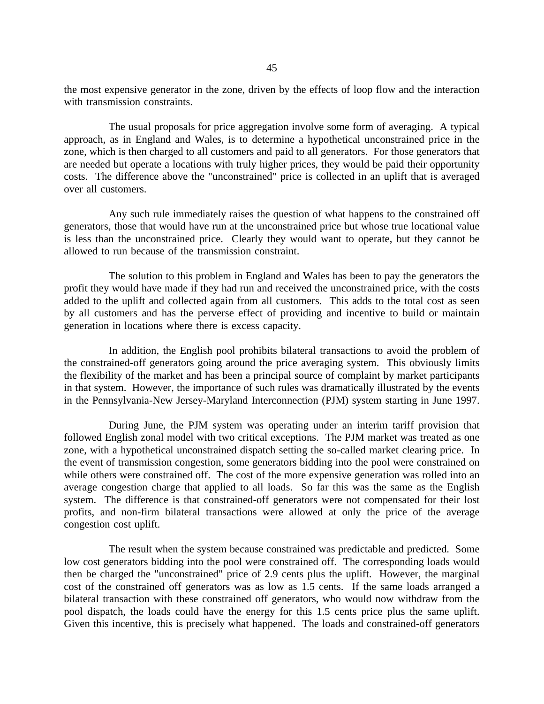the most expensive generator in the zone, driven by the effects of loop flow and the interaction with transmission constraints.

The usual proposals for price aggregation involve some form of averaging. A typical approach, as in England and Wales, is to determine a hypothetical unconstrained price in the zone, which is then charged to all customers and paid to all generators. For those generators that are needed but operate a locations with truly higher prices, they would be paid their opportunity costs. The difference above the "unconstrained" price is collected in an uplift that is averaged over all customers.

Any such rule immediately raises the question of what happens to the constrained off generators, those that would have run at the unconstrained price but whose true locational value is less than the unconstrained price. Clearly they would want to operate, but they cannot be allowed to run because of the transmission constraint.

The solution to this problem in England and Wales has been to pay the generators the profit they would have made if they had run and received the unconstrained price, with the costs added to the uplift and collected again from all customers. This adds to the total cost as seen by all customers and has the perverse effect of providing and incentive to build or maintain generation in locations where there is excess capacity.

In addition, the English pool prohibits bilateral transactions to avoid the problem of the constrained-off generators going around the price averaging system. This obviously limits the flexibility of the market and has been a principal source of complaint by market participants in that system. However, the importance of such rules was dramatically illustrated by the events in the Pennsylvania-New Jersey-Maryland Interconnection (PJM) system starting in June 1997.

During June, the PJM system was operating under an interim tariff provision that followed English zonal model with two critical exceptions. The PJM market was treated as one zone, with a hypothetical unconstrained dispatch setting the so-called market clearing price. In the event of transmission congestion, some generators bidding into the pool were constrained on while others were constrained off. The cost of the more expensive generation was rolled into an average congestion charge that applied to all loads. So far this was the same as the English system. The difference is that constrained-off generators were not compensated for their lost profits, and non-firm bilateral transactions were allowed at only the price of the average congestion cost uplift.

The result when the system because constrained was predictable and predicted. Some low cost generators bidding into the pool were constrained off. The corresponding loads would then be charged the "unconstrained" price of 2.9 cents plus the uplift. However, the marginal cost of the constrained off generators was as low as 1.5 cents. If the same loads arranged a bilateral transaction with these constrained off generators, who would now withdraw from the pool dispatch, the loads could have the energy for this 1.5 cents price plus the same uplift. Given this incentive, this is precisely what happened. The loads and constrained-off generators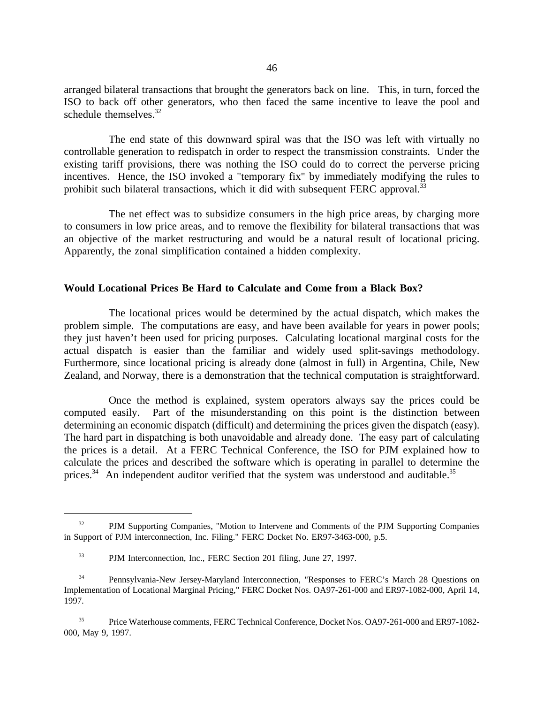arranged bilateral transactions that brought the generators back on line. This, in turn, forced the ISO to back off other generators, who then faced the same incentive to leave the pool and schedule themselves.<sup>32</sup>

The end state of this downward spiral was that the ISO was left with virtually no controllable generation to redispatch in order to respect the transmission constraints. Under the existing tariff provisions, there was nothing the ISO could do to correct the perverse pricing incentives. Hence, the ISO invoked a "temporary fix" by immediately modifying the rules to prohibit such bilateral transactions, which it did with subsequent FERC approval.<sup>33</sup>

The net effect was to subsidize consumers in the high price areas, by charging more to consumers in low price areas, and to remove the flexibility for bilateral transactions that was an objective of the market restructuring and would be a natural result of locational pricing. Apparently, the zonal simplification contained a hidden complexity.

## **Would Locational Prices Be Hard to Calculate and Come from a Black Box?**

The locational prices would be determined by the actual dispatch, which makes the problem simple. The computations are easy, and have been available for years in power pools; they just haven't been used for pricing purposes. Calculating locational marginal costs for the actual dispatch is easier than the familiar and widely used split-savings methodology. Furthermore, since locational pricing is already done (almost in full) in Argentina, Chile, New Zealand, and Norway, there is a demonstration that the technical computation is straightforward.

Once the method is explained, system operators always say the prices could be computed easily. Part of the misunderstanding on this point is the distinction between determining an economic dispatch (difficult) and determining the prices given the dispatch (easy). The hard part in dispatching is both unavoidable and already done. The easy part of calculating the prices is a detail. At a FERC Technical Conference, the ISO for PJM explained how to calculate the prices and described the software which is operating in parallel to determine the prices.<sup>34</sup> An independent auditor verified that the system was understood and auditable.<sup>35</sup>

<sup>&</sup>lt;sup>32</sup> PJM Supporting Companies, "Motion to Intervene and Comments of the PJM Supporting Companies in Support of PJM interconnection, Inc. Filing." FERC Docket No. ER97-3463-000, p.5.

<sup>&</sup>lt;sup>33</sup> PJM Interconnection, Inc., FERC Section 201 filing, June 27, 1997.

<sup>&</sup>lt;sup>34</sup> Pennsylvania-New Jersey-Maryland Interconnection, "Responses to FERC's March 28 Questions on Implementation of Locational Marginal Pricing," FERC Docket Nos. OA97-261-000 and ER97-1082-000, April 14, 1997.

<sup>&</sup>lt;sup>35</sup> Price Waterhouse comments, FERC Technical Conference, Docket Nos. OA97-261-000 and ER97-1082-000, May 9, 1997.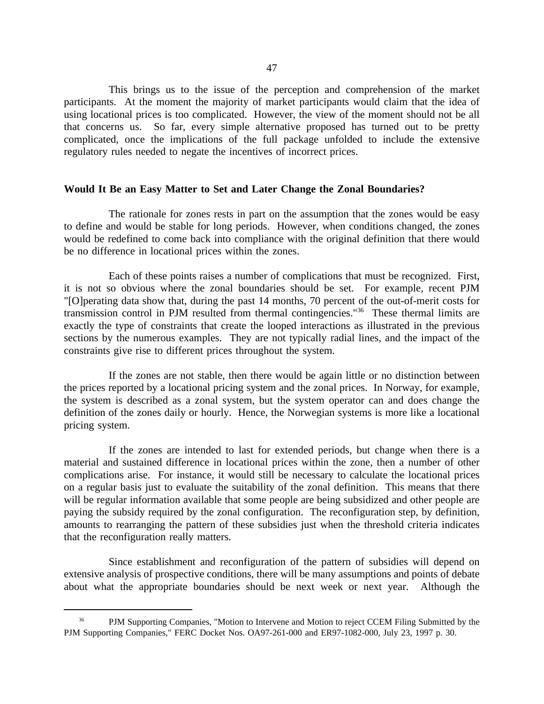This brings us to the issue of the perception and comprehension of the market participants. At the moment the majority of market participants would claim that the idea of using locational prices is too complicated. However, the view of the moment should not be all that concerns us. So far, every simple alternative proposed has turned out to be pretty complicated, once the implications of the full package unfolded to include the extensive regulatory rules needed to negate the incentives of incorrect prices.

#### **Would It Be an Easy Matter to Set and Later Change the Zonal Boundaries?**

The rationale for zones rests in part on the assumption that the zones would be easy to define and would be stable for long periods. However, when conditions changed, the zones would be redefined to come back into compliance with the original definition that there would be no difference in locational prices within the zones.

Each of these points raises a number of complications that must be recognized. First, it is not so obvious where the zonal boundaries should be set. For example, recent PJM "[O]perating data show that, during the past 14 months, 70 percent of the out-of-merit costs for transmission control in PJM resulted from thermal contingencies."36 These thermal limits are exactly the type of constraints that create the looped interactions as illustrated in the previous sections by the numerous examples. They are not typically radial lines, and the impact of the constraints give rise to different prices throughout the system.

If the zones are not stable, then there would be again little or no distinction between the prices reported by a locational pricing system and the zonal prices. In Norway, for example, the system is described as a zonal system, but the system operator can and does change the definition of the zones daily or hourly. Hence, the Norwegian systems is more like a locational pricing system.

If the zones are intended to last for extended periods, but change when there is a material and sustained difference in locational prices within the zone, then a number of other complications arise. For instance, it would still be necessary to calculate the locational prices on a regular basis just to evaluate the suitability of the zonal definition. This means that there will be regular information available that some people are being subsidized and other people are paying the subsidy required by the zonal configuration. The reconfiguration step, by definition, amounts to rearranging the pattern of these subsidies just when the threshold criteria indicates that the reconfiguration really matters.

Since establishment and reconfiguration of the pattern of subsidies will depend on extensive analysis of prospective conditions, there will be many assumptions and points of debate about what the appropriate boundaries should be next week or next year. Although the

<sup>&</sup>lt;sup>36</sup> PJM Supporting Companies, "Motion to Intervene and Motion to reject CCEM Filing Submitted by the PJM Supporting Companies," FERC Docket Nos. OA97-261-000 and ER97-1082-000, July 23, 1997 p. 30.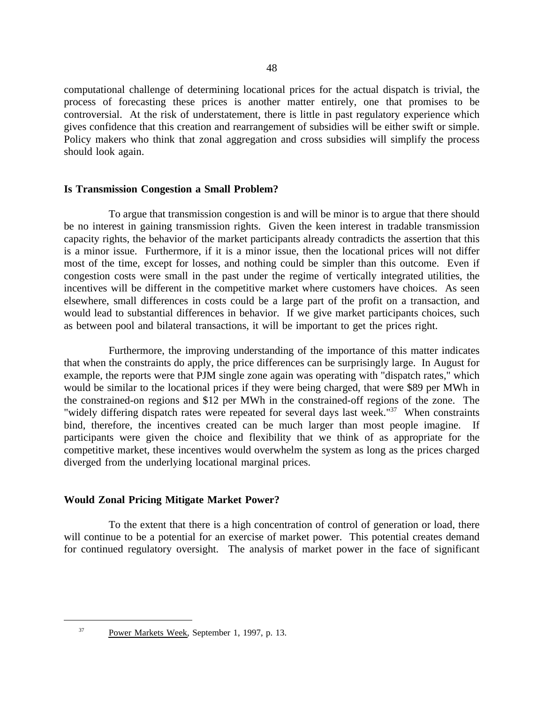computational challenge of determining locational prices for the actual dispatch is trivial, the process of forecasting these prices is another matter entirely, one that promises to be controversial. At the risk of understatement, there is little in past regulatory experience which gives confidence that this creation and rearrangement of subsidies will be either swift or simple. Policy makers who think that zonal aggregation and cross subsidies will simplify the process should look again.

## **Is Transmission Congestion a Small Problem?**

To argue that transmission congestion is and will be minor is to argue that there should be no interest in gaining transmission rights. Given the keen interest in tradable transmission capacity rights, the behavior of the market participants already contradicts the assertion that this is a minor issue. Furthermore, if it is a minor issue, then the locational prices will not differ most of the time, except for losses, and nothing could be simpler than this outcome. Even if congestion costs were small in the past under the regime of vertically integrated utilities, the incentives will be different in the competitive market where customers have choices. As seen elsewhere, small differences in costs could be a large part of the profit on a transaction, and would lead to substantial differences in behavior. If we give market participants choices, such as between pool and bilateral transactions, it will be important to get the prices right.

Furthermore, the improving understanding of the importance of this matter indicates that when the constraints do apply, the price differences can be surprisingly large. In August for example, the reports were that PJM single zone again was operating with "dispatch rates," which would be similar to the locational prices if they were being charged, that were \$89 per MWh in the constrained-on regions and \$12 per MWh in the constrained-off regions of the zone. The "widely differing dispatch rates were repeated for several days last week."<sup>37</sup> When constraints bind, therefore, the incentives created can be much larger than most people imagine. If participants were given the choice and flexibility that we think of as appropriate for the competitive market, these incentives would overwhelm the system as long as the prices charged diverged from the underlying locational marginal prices.

## **Would Zonal Pricing Mitigate Market Power?**

To the extent that there is a high concentration of control of generation or load, there will continue to be a potential for an exercise of market power. This potential creates demand for continued regulatory oversight. The analysis of market power in the face of significant

<sup>37</sup> Power Markets Week, September 1, 1997, p. 13.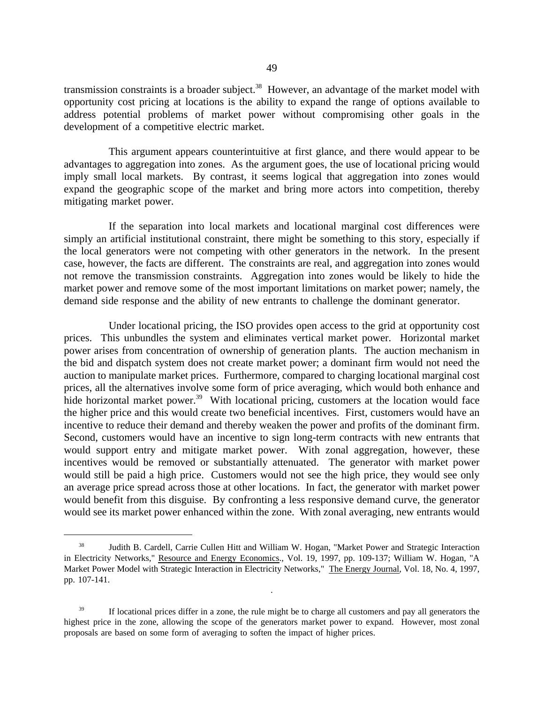transmission constraints is a broader subject.<sup>38</sup> However, an advantage of the market model with opportunity cost pricing at locations is the ability to expand the range of options available to address potential problems of market power without compromising other goals in the development of a competitive electric market.

This argument appears counterintuitive at first glance, and there would appear to be advantages to aggregation into zones. As the argument goes, the use of locational pricing would imply small local markets. By contrast, it seems logical that aggregation into zones would expand the geographic scope of the market and bring more actors into competition, thereby mitigating market power.

If the separation into local markets and locational marginal cost differences were simply an artificial institutional constraint, there might be something to this story, especially if the local generators were not competing with other generators in the network. In the present case, however, the facts are different. The constraints are real, and aggregation into zones would not remove the transmission constraints. Aggregation into zones would be likely to hide the market power and remove some of the most important limitations on market power; namely, the demand side response and the ability of new entrants to challenge the dominant generator.

Under locational pricing, the ISO provides open access to the grid at opportunity cost prices. This unbundles the system and eliminates vertical market power. Horizontal market power arises from concentration of ownership of generation plants. The auction mechanism in the bid and dispatch system does not create market power; a dominant firm would not need the auction to manipulate market prices. Furthermore, compared to charging locational marginal cost prices, all the alternatives involve some form of price averaging, which would both enhance and hide horizontal market power.<sup>39</sup> With locational pricing, customers at the location would face the higher price and this would create two beneficial incentives. First, customers would have an incentive to reduce their demand and thereby weaken the power and profits of the dominant firm. Second, customers would have an incentive to sign long-term contracts with new entrants that would support entry and mitigate market power. With zonal aggregation, however, these incentives would be removed or substantially attenuated. The generator with market power would still be paid a high price. Customers would not see the high price, they would see only an average price spread across those at other locations. In fact, the generator with market power would benefit from this disguise. By confronting a less responsive demand curve, the generator would see its market power enhanced within the zone. With zonal averaging, new entrants would

.

Judith B. Cardell, Carrie Cullen Hitt and William W. Hogan, "Market Power and Strategic Interaction in Electricity Networks," Resource and Energy Economics., Vol. 19, 1997, pp. 109-137; William W. Hogan, "A Market Power Model with Strategic Interaction in Electricity Networks," The Energy Journal, Vol. 18, No. 4, 1997, pp. 107-141.

<sup>&</sup>lt;sup>39</sup> If locational prices differ in a zone, the rule might be to charge all customers and pay all generators the highest price in the zone, allowing the scope of the generators market power to expand. However, most zonal proposals are based on some form of averaging to soften the impact of higher prices.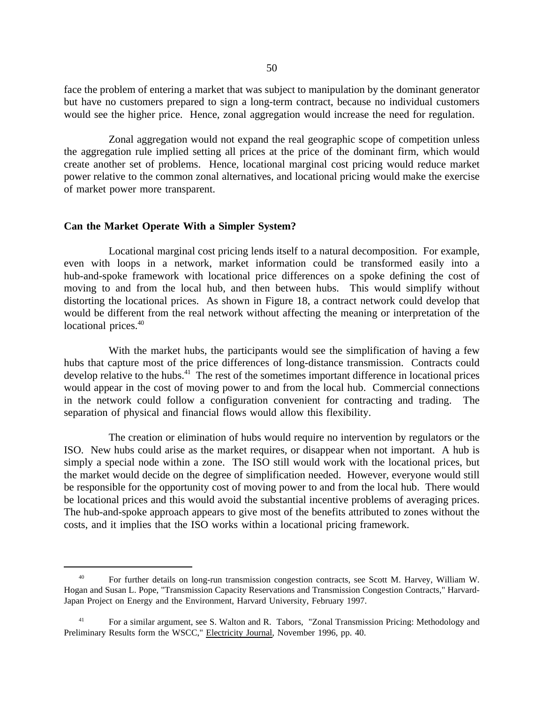face the problem of entering a market that was subject to manipulation by the dominant generator but have no customers prepared to sign a long-term contract, because no individual customers would see the higher price. Hence, zonal aggregation would increase the need for regulation.

Zonal aggregation would not expand the real geographic scope of competition unless the aggregation rule implied setting all prices at the price of the dominant firm, which would create another set of problems. Hence, locational marginal cost pricing would reduce market power relative to the common zonal alternatives, and locational pricing would make the exercise of market power more transparent.

## **Can the Market Operate With a Simpler System?**

Locational marginal cost pricing lends itself to a natural decomposition. For example, even with loops in a network, market information could be transformed easily into a hub-and-spoke framework with locational price differences on a spoke defining the cost of moving to and from the local hub, and then between hubs. This would simplify without distorting the locational prices. As shown in Figure 18, a contract network could develop that would be different from the real network without affecting the meaning or interpretation of the locational prices.<sup>40</sup>

With the market hubs, the participants would see the simplification of having a few hubs that capture most of the price differences of long-distance transmission. Contracts could develop relative to the hubs.<sup>41</sup> The rest of the sometimes important difference in locational prices would appear in the cost of moving power to and from the local hub. Commercial connections in the network could follow a configuration convenient for contracting and trading. The separation of physical and financial flows would allow this flexibility.

The creation or elimination of hubs would require no intervention by regulators or the ISO. New hubs could arise as the market requires, or disappear when not important. A hub is simply a special node within a zone. The ISO still would work with the locational prices, but the market would decide on the degree of simplification needed. However, everyone would still be responsible for the opportunity cost of moving power to and from the local hub. There would be locational prices and this would avoid the substantial incentive problems of averaging prices. The hub-and-spoke approach appears to give most of the benefits attributed to zones without the costs, and it implies that the ISO works within a locational pricing framework.

<sup>40</sup> For further details on long-run transmission congestion contracts, see Scott M. Harvey, William W. Hogan and Susan L. Pope, "Transmission Capacity Reservations and Transmission Congestion Contracts," Harvard-Japan Project on Energy and the Environment, Harvard University, February 1997.

<sup>41</sup> For a similar argument, see S. Walton and R. Tabors, "Zonal Transmission Pricing: Methodology and Preliminary Results form the WSCC," Electricity Journal, November 1996, pp. 40.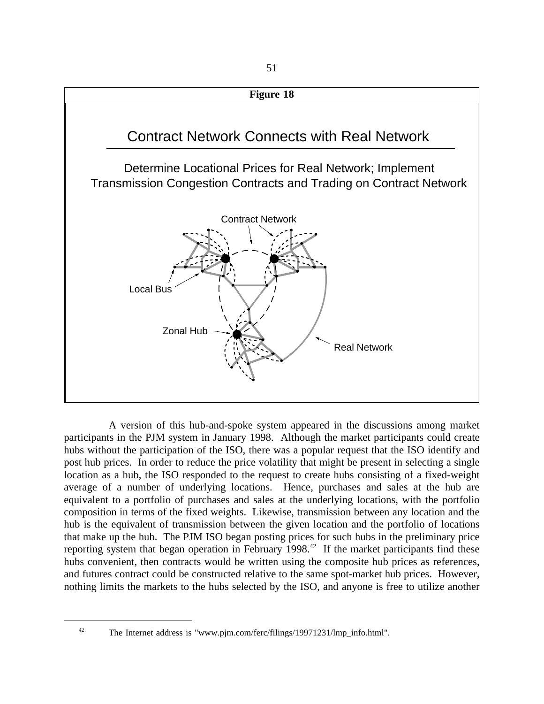

A version of this hub-and-spoke system appeared in the discussions among market participants in the PJM system in January 1998. Although the market participants could create hubs without the participation of the ISO, there was a popular request that the ISO identify and post hub prices. In order to reduce the price volatility that might be present in selecting a single location as a hub, the ISO responded to the request to create hubs consisting of a fixed-weight average of a number of underlying locations. Hence, purchases and sales at the hub are equivalent to a portfolio of purchases and sales at the underlying locations, with the portfolio composition in terms of the fixed weights. Likewise, transmission between any location and the hub is the equivalent of transmission between the given location and the portfolio of locations that make up the hub. The PJM ISO began posting prices for such hubs in the preliminary price reporting system that began operation in February 1998.<sup>42</sup> If the market participants find these hubs convenient, then contracts would be written using the composite hub prices as references, and futures contract could be constructed relative to the same spot-market hub prices. However, nothing limits the markets to the hubs selected by the ISO, and anyone is free to utilize another

<sup>42</sup> The Internet address is "www.pjm.com/ferc/filings/19971231/lmp\_info.html".